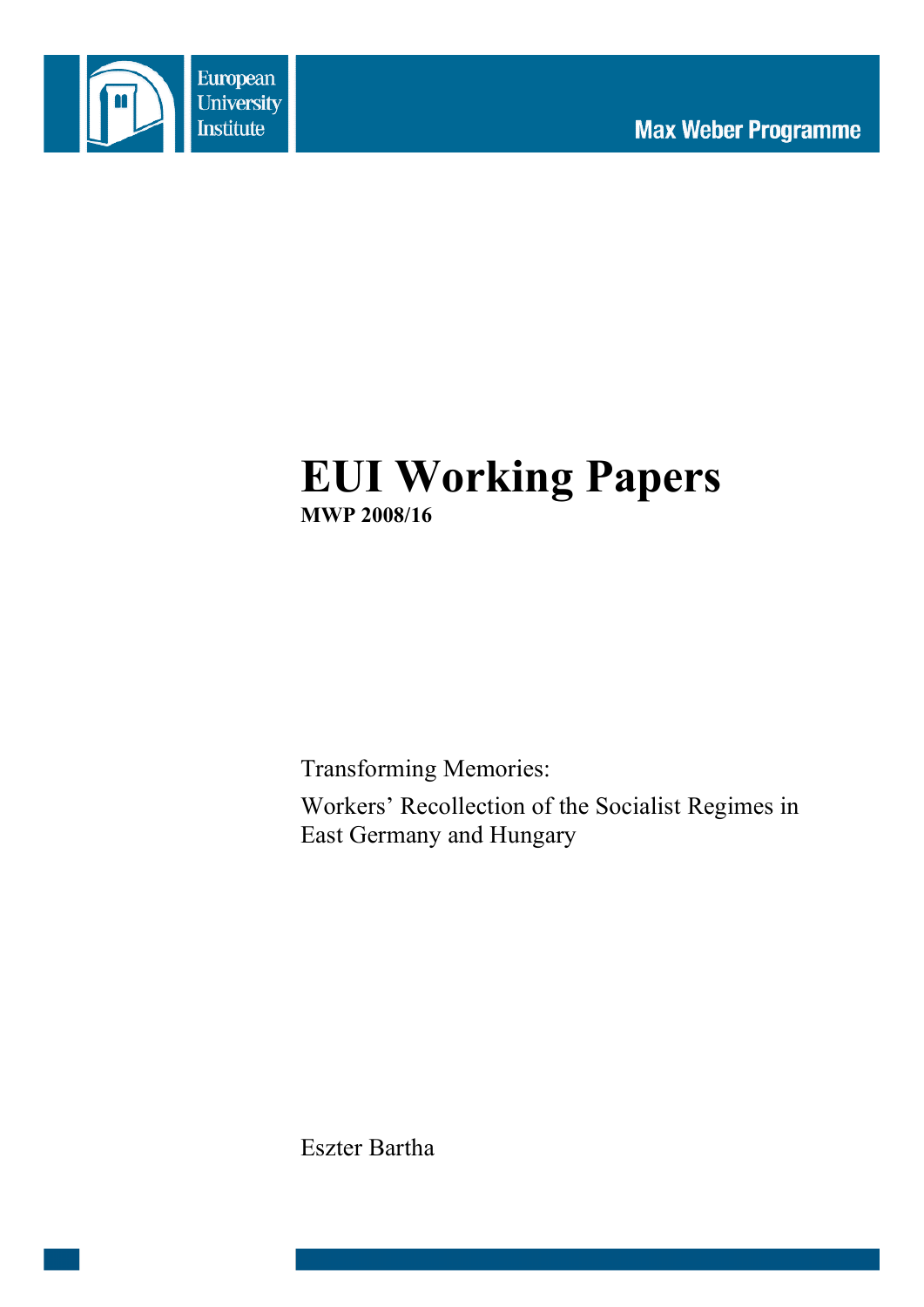

# **EUI Working Papers MWP 2008/16**

Transforming Memories:

Workers' Recollection of the Socialist Regimes in East Germany and Hungary

Eszter Bartha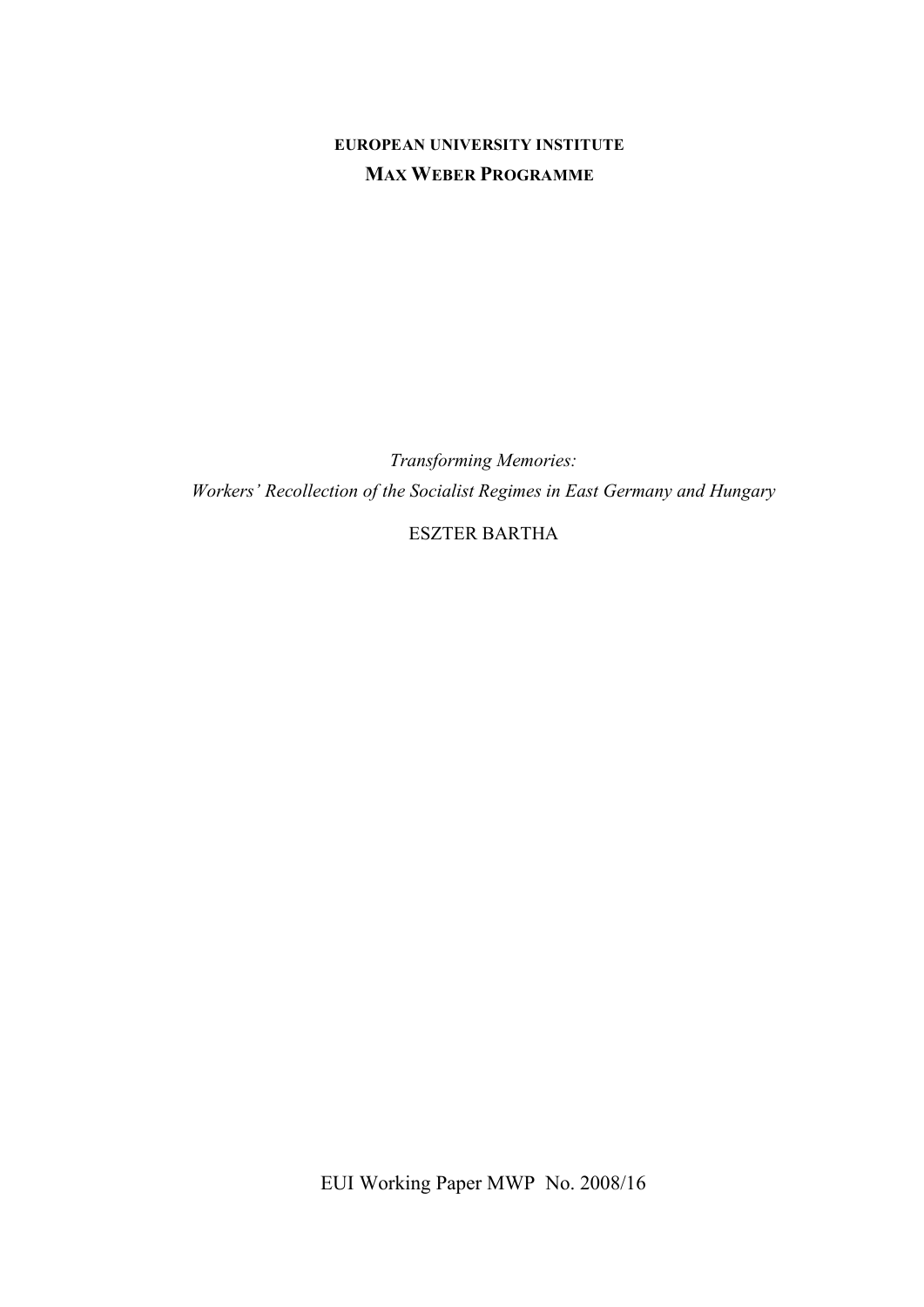## **EUROPEAN UNIVERSITY INSTITUTE MAX WEBER PROGRAMME**

*Transforming Memories: Workers' Recollection of the Socialist Regimes in East Germany and Hungary*

ESZTER BARTHA

EUI Working Paper MWP No. 2008/16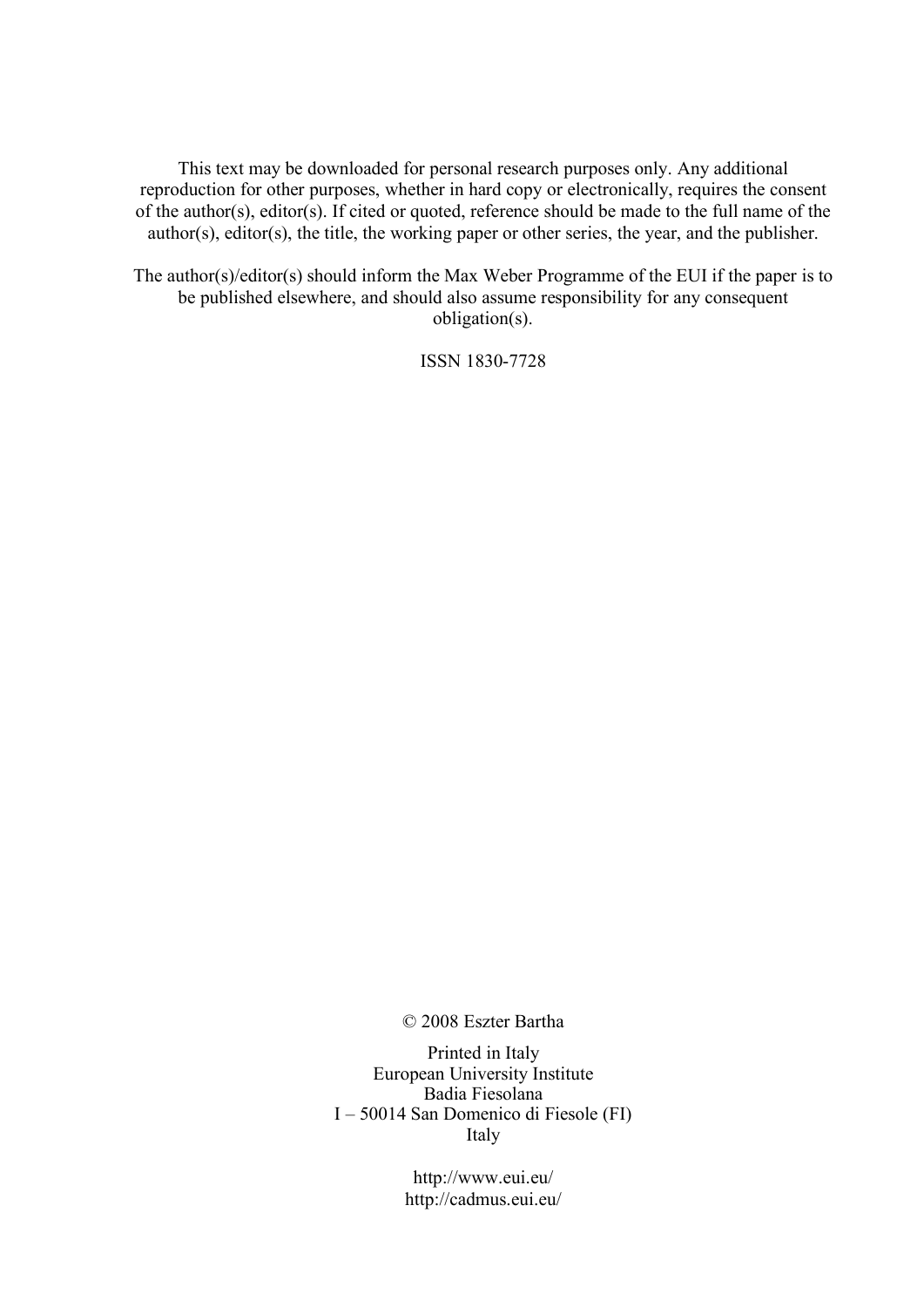This text may be downloaded for personal research purposes only. Any additional reproduction for other purposes, whether in hard copy or electronically, requires the consent of the author(s), editor(s). If cited or quoted, reference should be made to the full name of the author(s), editor(s), the title, the working paper or other series, the year, and the publisher.

The author(s)/editor(s) should inform the Max Weber Programme of the EUI if the paper is to be published elsewhere, and should also assume responsibility for any consequent obligation(s).

ISSN 1830-7728

© 2008 Eszter Bartha

Printed in Italy European University Institute Badia Fiesolana I – 50014 San Domenico di Fiesole (FI) Italy

> http://www.eui.eu/ http://cadmus.eui.eu/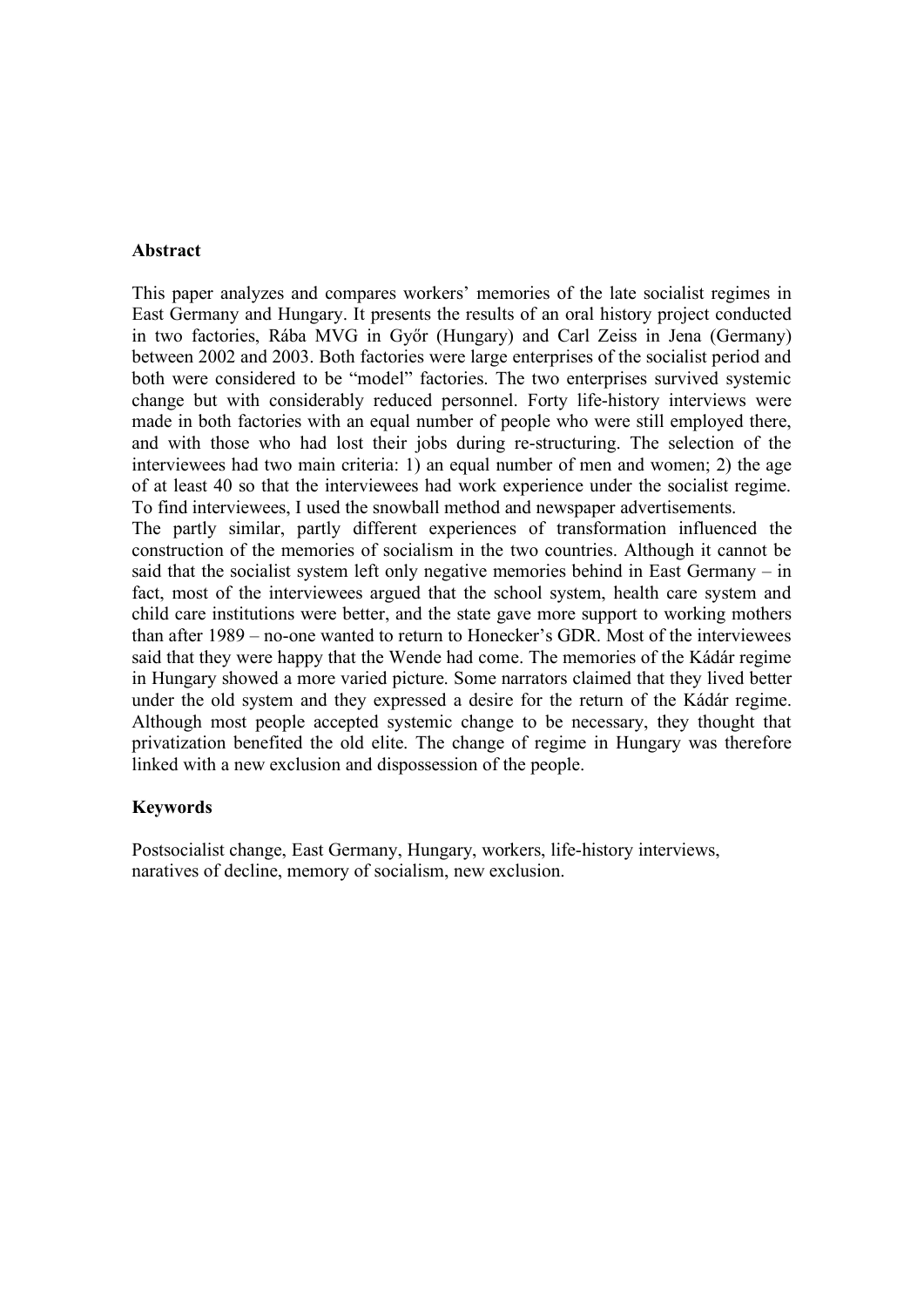#### **Abstract**

This paper analyzes and compares workers' memories of the late socialist regimes in East Germany and Hungary. It presents the results of an oral history project conducted in two factories, Rába MVG in Győr (Hungary) and Carl Zeiss in Jena (Germany) between 2002 and 2003. Both factories were large enterprises of the socialist period and both were considered to be "model" factories. The two enterprises survived systemic change but with considerably reduced personnel. Forty life-history interviews were made in both factories with an equal number of people who were still employed there, and with those who had lost their jobs during re-structuring. The selection of the interviewees had two main criteria: 1) an equal number of men and women; 2) the age of at least 40 so that the interviewees had work experience under the socialist regime. To find interviewees, I used the snowball method and newspaper advertisements.

The partly similar, partly different experiences of transformation influenced the construction of the memories of socialism in the two countries. Although it cannot be said that the socialist system left only negative memories behind in East Germany – in fact, most of the interviewees argued that the school system, health care system and child care institutions were better, and the state gave more support to working mothers than after 1989 – no-one wanted to return to Honecker's GDR. Most of the interviewees said that they were happy that the Wende had come. The memories of the Kádár regime in Hungary showed a more varied picture. Some narrators claimed that they lived better under the old system and they expressed a desire for the return of the Kádár regime. Although most people accepted systemic change to be necessary, they thought that privatization benefited the old elite. The change of regime in Hungary was therefore linked with a new exclusion and dispossession of the people.

## **Keywords**

Postsocialist change, East Germany, Hungary, workers, life-history interviews, naratives of decline, memory of socialism, new exclusion.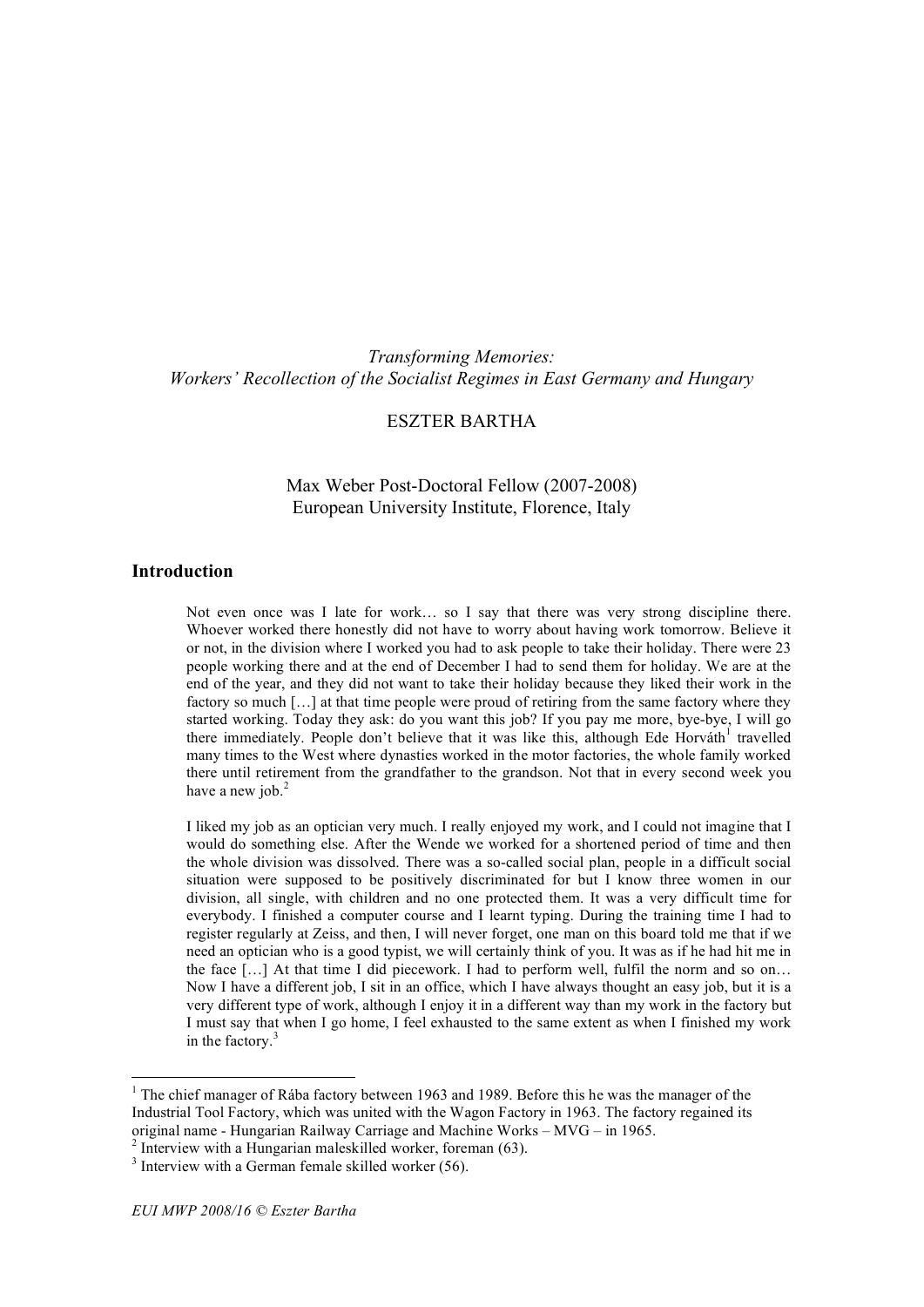## *Transforming Memories: Workers' Recollection of the Socialist Regimes in East Germany and Hungary*

## ESZTER BARTHA

## Max Weber Post-Doctoral Fellow (2007-2008) European University Institute, Florence, Italy

#### **Introduction**

Not even once was I late for work… so I say that there was very strong discipline there. Whoever worked there honestly did not have to worry about having work tomorrow. Believe it or not, in the division where I worked you had to ask people to take their holiday. There were 23 people working there and at the end of December I had to send them for holiday. We are at the end of the year, and they did not want to take their holiday because they liked their work in the factory so much [...] at that time people were proud of retiring from the same factory where they started working. Today they ask: do you want this job? If you pay me more, bye-bye, I will go there immediately. People don't believe that it was like this, although Ede Horváth<sup>1</sup> travelled many times to the West where dynasties worked in the motor factories, the whole family worked there until retirement from the grandfather to the grandson. Not that in every second week you have a new job.<sup>2</sup>

I liked my job as an optician very much. I really enjoyed my work, and I could not imagine that I would do something else. After the Wende we worked for a shortened period of time and then the whole division was dissolved. There was a so-called social plan, people in a difficult social situation were supposed to be positively discriminated for but I know three women in our division, all single, with children and no one protected them. It was a very difficult time for everybody. I finished a computer course and I learnt typing. During the training time I had to register regularly at Zeiss, and then, I will never forget, one man on this board told me that if we need an optician who is a good typist, we will certainly think of you. It was as if he had hit me in the face […] At that time I did piecework. I had to perform well, fulfil the norm and so on… Now I have a different job, I sit in an office, which I have always thought an easy job, but it is a very different type of work, although I enjoy it in a different way than my work in the factory but I must say that when I go home, I feel exhausted to the same extent as when I finished my work in the factory. 3

<sup>&</sup>lt;sup>1</sup> The chief manager of Rába factory between 1963 and 1989. Before this he was the manager of the Industrial Tool Factory, which was united with the Wagon Factory in 1963. The factory regained its original name - Hungarian Railway Carriage and Machine Works – MVG – in 1965.

<sup>&</sup>lt;sup>2</sup> Interview with a Hungarian maleskilled worker, foreman (63). <sup>3</sup> Interview with a German female skilled worker (56).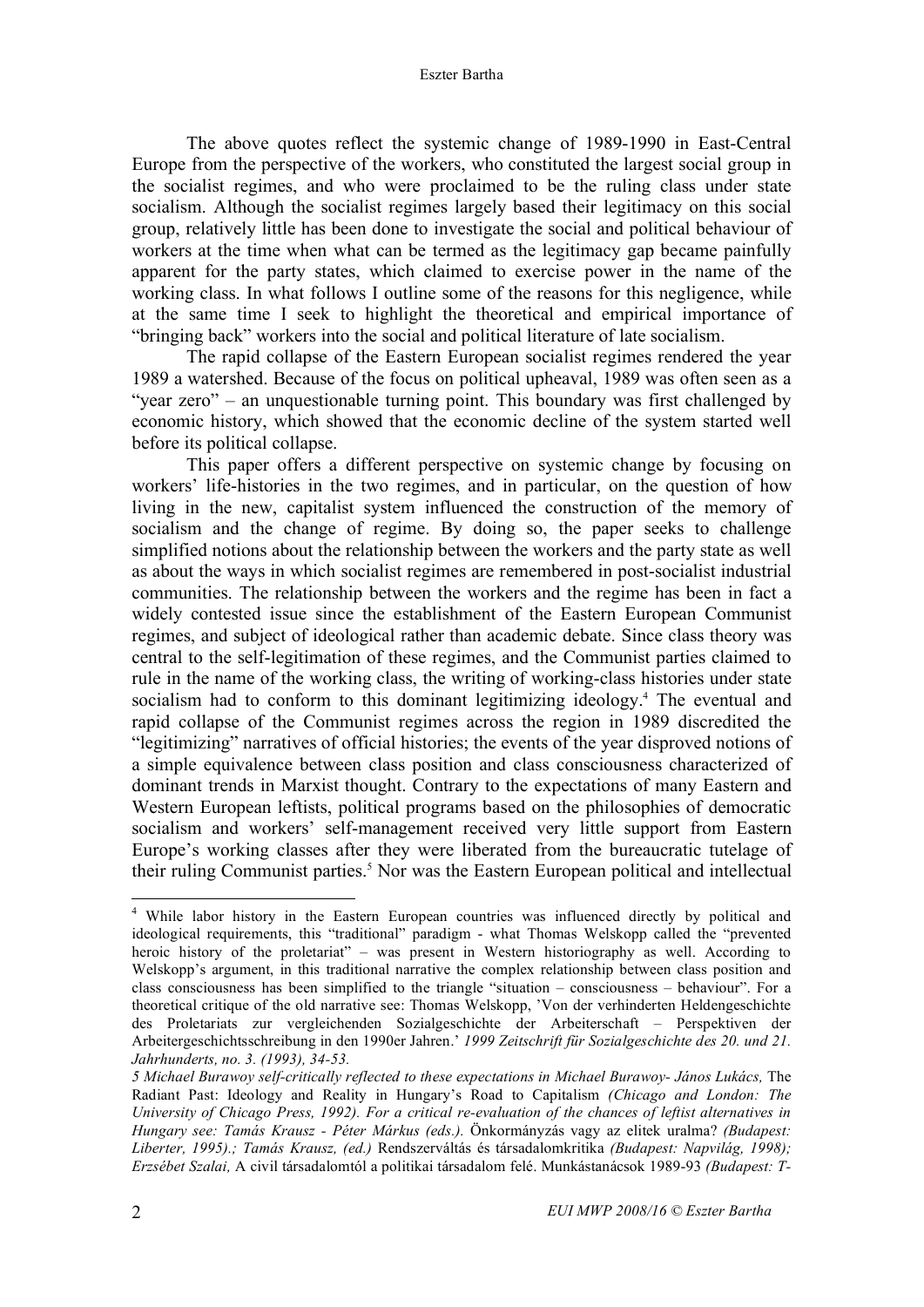The above quotes reflect the systemic change of 1989-1990 in East-Central Europe from the perspective of the workers, who constituted the largest social group in the socialist regimes, and who were proclaimed to be the ruling class under state socialism. Although the socialist regimes largely based their legitimacy on this social group, relatively little has been done to investigate the social and political behaviour of workers at the time when what can be termed as the legitimacy gap became painfully apparent for the party states, which claimed to exercise power in the name of the working class. In what follows I outline some of the reasons for this negligence, while at the same time I seek to highlight the theoretical and empirical importance of "bringing back" workers into the social and political literature of late socialism.

The rapid collapse of the Eastern European socialist regimes rendered the year 1989 a watershed. Because of the focus on political upheaval, 1989 was often seen as a "year zero" – an unquestionable turning point. This boundary was first challenged by economic history, which showed that the economic decline of the system started well before its political collapse.

This paper offers a different perspective on systemic change by focusing on workers' life-histories in the two regimes, and in particular, on the question of how living in the new, capitalist system influenced the construction of the memory of socialism and the change of regime. By doing so, the paper seeks to challenge simplified notions about the relationship between the workers and the party state as well as about the ways in which socialist regimes are remembered in post-socialist industrial communities. The relationship between the workers and the regime has been in fact a widely contested issue since the establishment of the Eastern European Communist regimes, and subject of ideological rather than academic debate. Since class theory was central to the self-legitimation of these regimes, and the Communist parties claimed to rule in the name of the working class, the writing of working-class histories under state socialism had to conform to this dominant legitimizing ideology.<sup>4</sup> The eventual and rapid collapse of the Communist regimes across the region in 1989 discredited the "legitimizing" narratives of official histories; the events of the year disproved notions of a simple equivalence between class position and class consciousness characterized of dominant trends in Marxist thought. Contrary to the expectations of many Eastern and Western European leftists, political programs based on the philosophies of democratic socialism and workers' self-management received very little support from Eastern Europe's working classes after they were liberated from the bureaucratic tutelage of their ruling Communist parties. <sup>5</sup> Nor was the Eastern European political and intellectual

 <sup>4</sup> While labor history in the Eastern European countries was influenced directly by political and ideological requirements, this "traditional" paradigm - what Thomas Welskopp called the "prevented heroic history of the proletariat" – was present in Western historiography as well. According to Welskopp's argument, in this traditional narrative the complex relationship between class position and class consciousness has been simplified to the triangle "situation – consciousness – behaviour". For a theoretical critique of the old narrative see: Thomas Welskopp, 'Von der verhinderten Heldengeschichte des Proletariats zur vergleichenden Sozialgeschichte der Arbeiterschaft – Perspektiven der Arbeitergeschichtsschreibung in den 1990er Jahren.' *1999 Zeitschrift für Sozialgeschichte des 20. und 21. Jahrhunderts, no. 3. (1993), 34-53.*

*<sup>5</sup> Michael Burawoy self-critically reflected to these expectations in Michael Burawoy- János Lukács,* The Radiant Past: Ideology and Reality in Hungary's Road to Capitalism *(Chicago and London: The University of Chicago Press, 1992). For a critical re-evaluation of the chances of leftist alternatives in Hungary see: Tamás Krausz - Péter Márkus (eds.).* Önkormányzás vagy az elitek uralma? *(Budapest: Liberter, 1995).; Tamás Krausz, (ed.)* Rendszerváltás és társadalomkritika *(Budapest: Napvilág, 1998); Erzsébet Szalai,* A civil társadalomtól a politikai társadalom felé. Munkástanácsok 1989-93 *(Budapest: T-*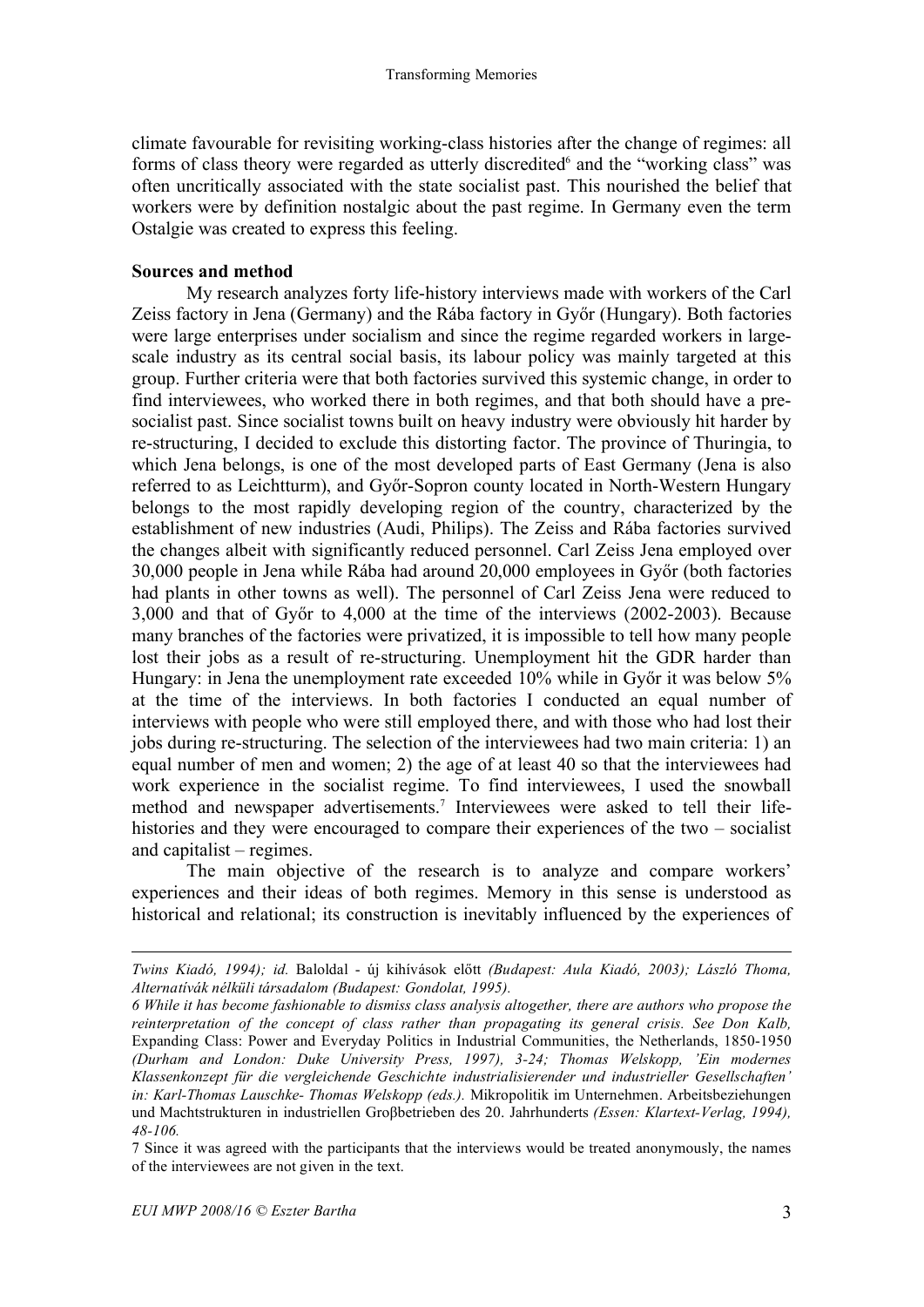climate favourable for revisiting working-class histories after the change of regimes: all forms of class theory were regarded as utterly discredited $6$  and the "working class" was often uncritically associated with the state socialist past. This nourished the belief that workers were by definition nostalgic about the past regime. In Germany even the term Ostalgie was created to express this feeling.

## **Sources and method**

My research analyzes forty life-history interviews made with workers of the Carl Zeiss factory in Jena (Germany) and the Rába factory in Győr (Hungary). Both factories were large enterprises under socialism and since the regime regarded workers in largescale industry as its central social basis, its labour policy was mainly targeted at this group. Further criteria were that both factories survived this systemic change, in order to find interviewees, who worked there in both regimes, and that both should have a presocialist past. Since socialist towns built on heavy industry were obviously hit harder by re-structuring, I decided to exclude this distorting factor. The province of Thuringia, to which Jena belongs, is one of the most developed parts of East Germany (Jena is also referred to as Leichtturm), and Győr-Sopron county located in North-Western Hungary belongs to the most rapidly developing region of the country, characterized by the establishment of new industries (Audi, Philips). The Zeiss and Rába factories survived the changes albeit with significantly reduced personnel. Carl Zeiss Jena employed over 30,000 people in Jena while Rába had around 20,000 employees in Győr (both factories had plants in other towns as well). The personnel of Carl Zeiss Jena were reduced to 3,000 and that of Győr to 4,000 at the time of the interviews (2002-2003). Because many branches of the factories were privatized, it is impossible to tell how many people lost their jobs as a result of re-structuring. Unemployment hit the GDR harder than Hungary: in Jena the unemployment rate exceeded 10% while in Győr it was below 5% at the time of the interviews. In both factories I conducted an equal number of interviews with people who were still employed there, and with those who had lost their jobs during re-structuring. The selection of the interviewees had two main criteria: 1) an equal number of men and women; 2) the age of at least 40 so that the interviewees had work experience in the socialist regime. To find interviewees, I used the snowball method and newspaper advertisements. <sup>7</sup> Interviewees were asked to tell their lifehistories and they were encouraged to compare their experiences of the two – socialist and capitalist – regimes.

The main objective of the research is to analyze and compare workers' experiences and their ideas of both regimes. Memory in this sense is understood as historical and relational; its construction is inevitably influenced by the experiences of

 $\overline{a}$ 

*Twins Kiadó, 1994); id.* Baloldal - új kihívások előtt *(Budapest: Aula Kiadó, 2003); László Thoma, Alternatívák nélküli társadalom (Budapest: Gondolat, 1995).*

*<sup>6</sup> While it has become fashionable to dismiss class analysis altogether, there are authors who propose the reinterpretation of the concept of class rather than propagating its general crisis. See Don Kalb,* Expanding Class: Power and Everyday Politics in Industrial Communities, the Netherlands, 1850-1950 *(Durham and London: Duke University Press, 1997), 3-24; Thomas Welskopp, 'Ein modernes Klassenkonzept für die vergleichende Geschichte industrialisierender und industrieller Gesellschaften' in: Karl-Thomas Lauschke- Thomas Welskopp (eds.).* Mikropolitik im Unternehmen. Arbeitsbeziehungen und Machtstrukturen in industriellen Groβbetrieben des 20. Jahrhunderts *(Essen: Klartext-Verlag, 1994), 48-106.*

<sup>7</sup> Since it was agreed with the participants that the interviews would be treated anonymously, the names of the interviewees are not given in the text.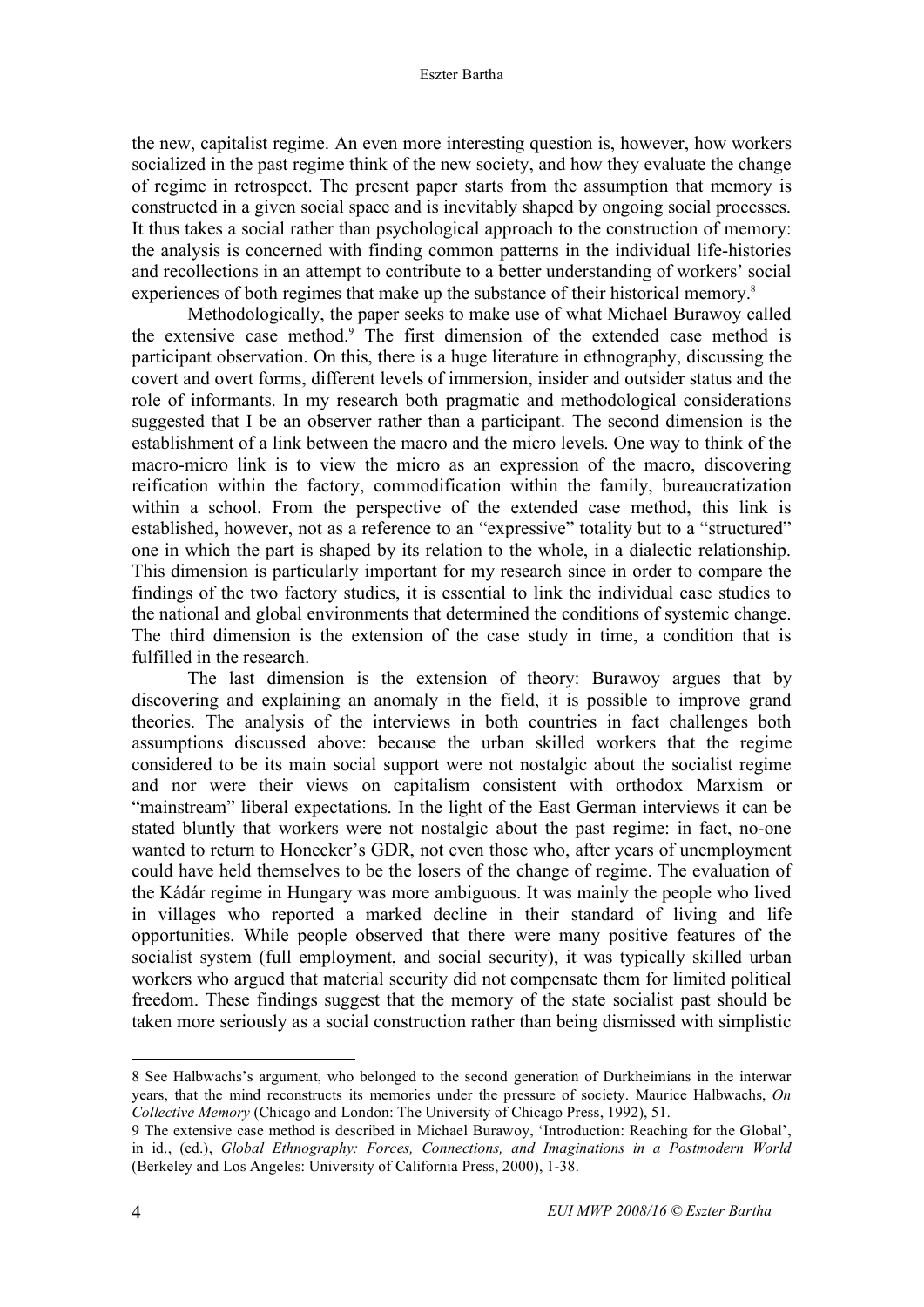the new, capitalist regime. An even more interesting question is, however, how workers socialized in the past regime think of the new society, and how they evaluate the change of regime in retrospect. The present paper starts from the assumption that memory is constructed in a given social space and is inevitably shaped by ongoing social processes. It thus takes a social rather than psychological approach to the construction of memory: the analysis is concerned with finding common patterns in the individual life-histories and recollections in an attempt to contribute to a better understanding of workers' social experiences of both regimes that make up the substance of their historical memory.<sup>8</sup>

Methodologically, the paper seeks to make use of what Michael Burawoy called the extensive case method.9 The first dimension of the extended case method is participant observation. On this, there is a huge literature in ethnography, discussing the covert and overt forms, different levels of immersion, insider and outsider status and the role of informants. In my research both pragmatic and methodological considerations suggested that I be an observer rather than a participant. The second dimension is the establishment of a link between the macro and the micro levels. One way to think of the macro-micro link is to view the micro as an expression of the macro, discovering reification within the factory, commodification within the family, bureaucratization within a school. From the perspective of the extended case method, this link is established, however, not as a reference to an "expressive" totality but to a "structured" one in which the part is shaped by its relation to the whole, in a dialectic relationship. This dimension is particularly important for my research since in order to compare the findings of the two factory studies, it is essential to link the individual case studies to the national and global environments that determined the conditions of systemic change. The third dimension is the extension of the case study in time, a condition that is fulfilled in the research.

The last dimension is the extension of theory: Burawoy argues that by discovering and explaining an anomaly in the field, it is possible to improve grand theories. The analysis of the interviews in both countries in fact challenges both assumptions discussed above: because the urban skilled workers that the regime considered to be its main social support were not nostalgic about the socialist regime and nor were their views on capitalism consistent with orthodox Marxism or "mainstream" liberal expectations. In the light of the East German interviews it can be stated bluntly that workers were not nostalgic about the past regime: in fact, no-one wanted to return to Honecker's GDR, not even those who, after years of unemployment could have held themselves to be the losers of the change of regime. The evaluation of the Kádár regime in Hungary was more ambiguous. It was mainly the people who lived in villages who reported a marked decline in their standard of living and life opportunities. While people observed that there were many positive features of the socialist system (full employment, and social security), it was typically skilled urban workers who argued that material security did not compensate them for limited political freedom. These findings suggest that the memory of the state socialist past should be taken more seriously as a social construction rather than being dismissed with simplistic

 <sup>8</sup> See Halbwachs's argument, who belonged to the second generation of Durkheimians in the interwar years, that the mind reconstructs its memories under the pressure of society. Maurice Halbwachs, *On Collective Memory* (Chicago and London: The University of Chicago Press, 1992), 51.

<sup>9</sup> The extensive case method is described in Michael Burawoy, 'Introduction: Reaching for the Global', in id., (ed.), *Global Ethnography: Forces, Connections, and Imaginations in a Postmodern World* (Berkeley and Los Angeles: University of California Press, 2000), 1-38.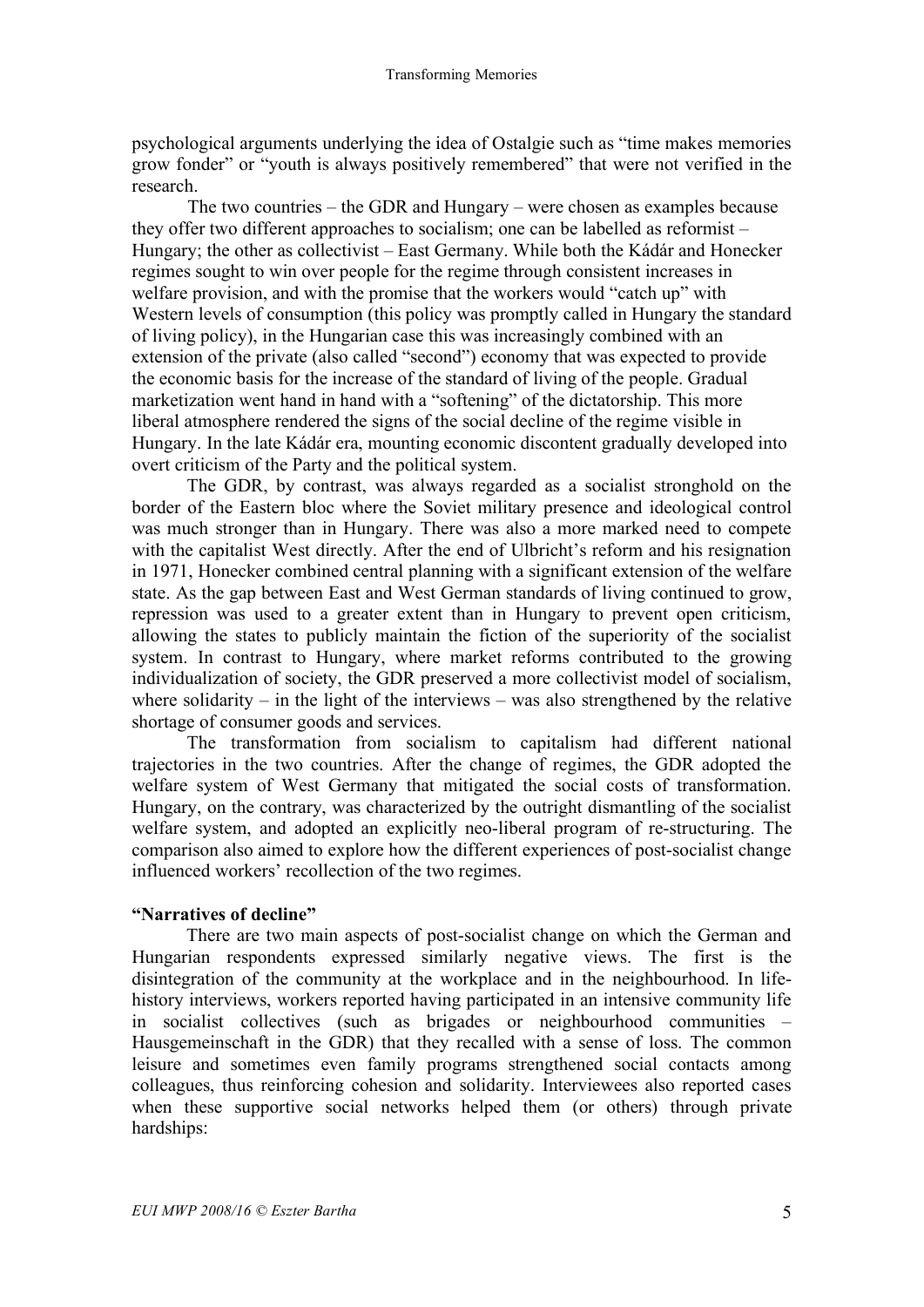psychological arguments underlying the idea of Ostalgie such as "time makes memories grow fonder" or "youth is always positively remembered" that were not verified in the research.

The two countries – the GDR and Hungary – were chosen as examples because they offer two different approaches to socialism; one can be labelled as reformist – Hungary; the other as collectivist – East Germany. While both the Kádár and Honecker regimes sought to win over people for the regime through consistent increases in welfare provision, and with the promise that the workers would "catch up" with Western levels of consumption (this policy was promptly called in Hungary the standard of living policy), in the Hungarian case this was increasingly combined with an extension of the private (also called "second") economy that was expected to provide the economic basis for the increase of the standard of living of the people. Gradual marketization went hand in hand with a "softening" of the dictatorship. This more liberal atmosphere rendered the signs of the social decline of the regime visible in Hungary. In the late Kádár era, mounting economic discontent gradually developed into overt criticism of the Party and the political system.

The GDR, by contrast, was always regarded as a socialist stronghold on the border of the Eastern bloc where the Soviet military presence and ideological control was much stronger than in Hungary. There was also a more marked need to compete with the capitalist West directly. After the end of Ulbricht's reform and his resignation in 1971, Honecker combined central planning with a significant extension of the welfare state. As the gap between East and West German standards of living continued to grow, repression was used to a greater extent than in Hungary to prevent open criticism, allowing the states to publicly maintain the fiction of the superiority of the socialist system. In contrast to Hungary, where market reforms contributed to the growing individualization of society, the GDR preserved a more collectivist model of socialism, where solidarity – in the light of the interviews – was also strengthened by the relative shortage of consumer goods and services.

The transformation from socialism to capitalism had different national trajectories in the two countries. After the change of regimes, the GDR adopted the welfare system of West Germany that mitigated the social costs of transformation. Hungary, on the contrary, was characterized by the outright dismantling of the socialist welfare system, and adopted an explicitly neo-liberal program of re-structuring. The comparison also aimed to explore how the different experiences of post-socialist change influenced workers' recollection of the two regimes.

## **"Narratives of decline"**

There are two main aspects of post-socialist change on which the German and Hungarian respondents expressed similarly negative views. The first is the disintegration of the community at the workplace and in the neighbourhood. In lifehistory interviews, workers reported having participated in an intensive community life in socialist collectives (such as brigades or neighbourhood communities – Hausgemeinschaft in the GDR) that they recalled with a sense of loss. The common leisure and sometimes even family programs strengthened social contacts among colleagues, thus reinforcing cohesion and solidarity. Interviewees also reported cases when these supportive social networks helped them (or others) through private hardships: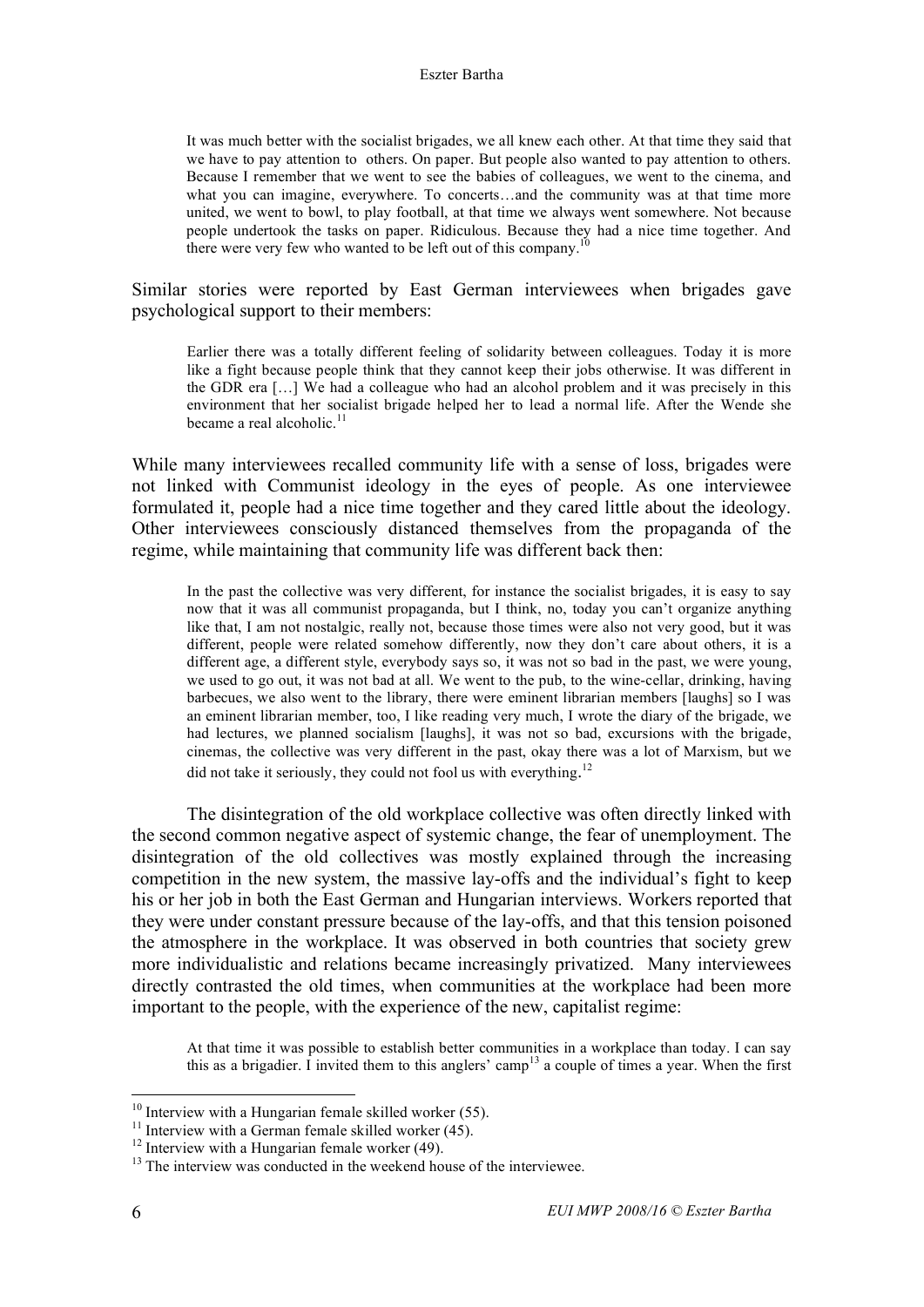It was much better with the socialist brigades, we all knew each other. At that time they said that we have to pay attention to others. On paper. But people also wanted to pay attention to others. Because I remember that we went to see the babies of colleagues, we went to the cinema, and what you can imagine, everywhere. To concerts…and the community was at that time more united, we went to bowl, to play football, at that time we always went somewhere. Not because people undertook the tasks on paper. Ridiculous. Because they had a nice time together. And there were very few who wanted to be left out of this company.<sup>10</sup>

Similar stories were reported by East German interviewees when brigades gave psychological support to their members:

Earlier there was a totally different feeling of solidarity between colleagues. Today it is more like a fight because people think that they cannot keep their jobs otherwise. It was different in the GDR era […] We had a colleague who had an alcohol problem and it was precisely in this environment that her socialist brigade helped her to lead a normal life. After the Wende she became a real alcoholic.<sup>11</sup>

While many interviewees recalled community life with a sense of loss, brigades were not linked with Communist ideology in the eyes of people. As one interviewee formulated it, people had a nice time together and they cared little about the ideology. Other interviewees consciously distanced themselves from the propaganda of the regime, while maintaining that community life was different back then:

In the past the collective was very different, for instance the socialist brigades, it is easy to say now that it was all communist propaganda, but I think, no, today you can't organize anything like that, I am not nostalgic, really not, because those times were also not very good, but it was different, people were related somehow differently, now they don't care about others, it is a different age, a different style, everybody says so, it was not so bad in the past, we were young, we used to go out, it was not bad at all. We went to the pub, to the wine-cellar, drinking, having barbecues, we also went to the library, there were eminent librarian members [laughs] so I was an eminent librarian member, too, I like reading very much, I wrote the diary of the brigade, we had lectures, we planned socialism [laughs], it was not so bad, excursions with the brigade, cinemas, the collective was very different in the past, okay there was a lot of Marxism, but we did not take it seriously, they could not fool us with everything.<sup>12</sup>

The disintegration of the old workplace collective was often directly linked with the second common negative aspect of systemic change, the fear of unemployment. The disintegration of the old collectives was mostly explained through the increasing competition in the new system, the massive lay-offs and the individual's fight to keep his or her job in both the East German and Hungarian interviews. Workers reported that they were under constant pressure because of the lay-offs, and that this tension poisoned the atmosphere in the workplace. It was observed in both countries that society grew more individualistic and relations became increasingly privatized. Many interviewees directly contrasted the old times, when communities at the workplace had been more important to the people, with the experience of the new, capitalist regime:

At that time it was possible to establish better communities in a workplace than today. I can say this as a brigadier. I invited them to this anglers' camp<sup>13</sup> a couple of times a year. When the first

<sup>&</sup>lt;sup>10</sup> Interview with a Hungarian female skilled worker (55).<br><sup>11</sup> Interview with a German female skilled worker (45).<br><sup>12</sup> Interview with a Hungarian female worker (49).<br><sup>13</sup> The interview was conducted in the weekend hous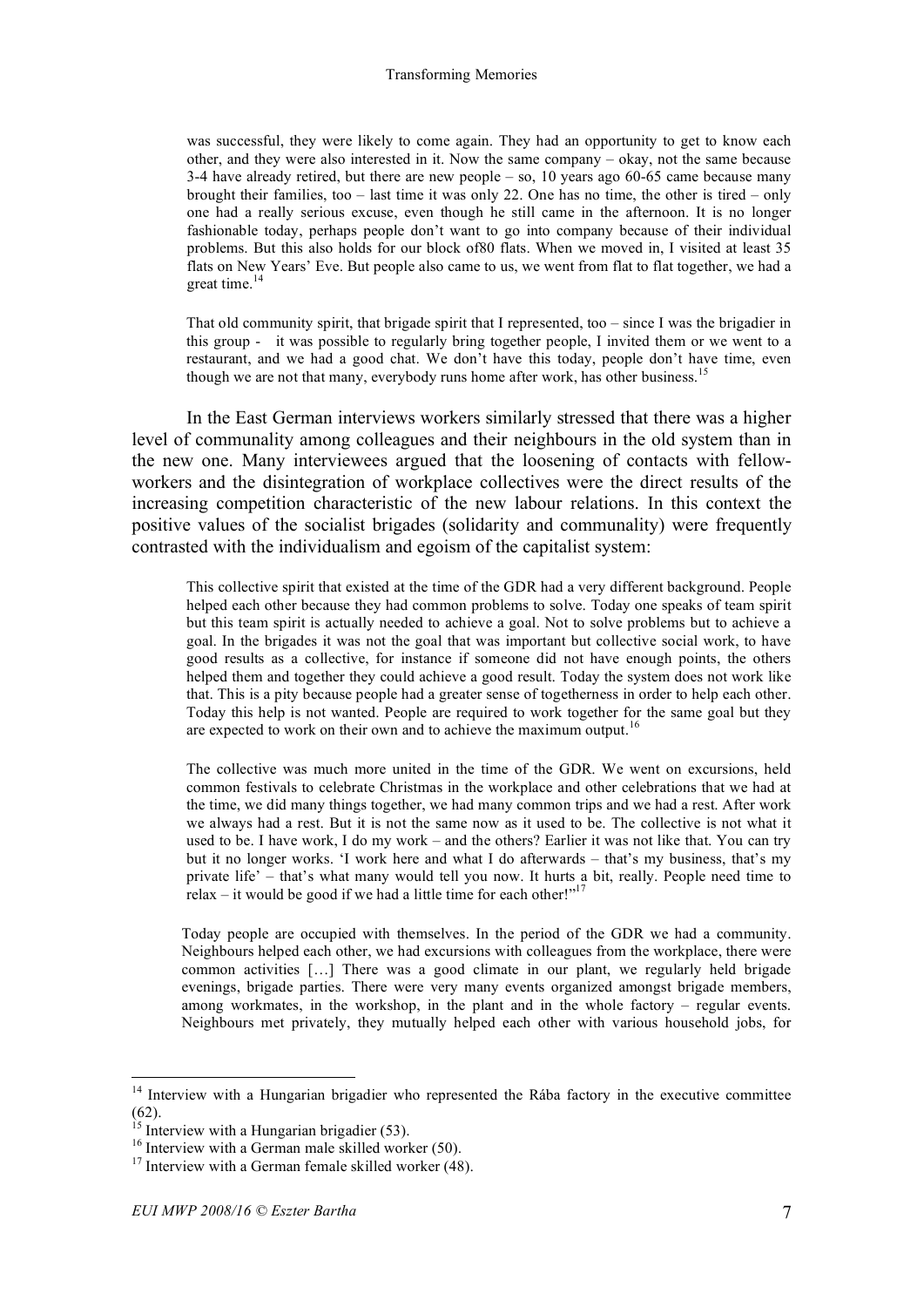was successful, they were likely to come again. They had an opportunity to get to know each other, and they were also interested in it. Now the same company – okay, not the same because  $3-4$  have already retired, but there are new people – so, 10 years ago 60-65 came because many brought their families, too – last time it was only 22. One has no time, the other is tired – only one had a really serious excuse, even though he still came in the afternoon. It is no longer fashionable today, perhaps people don't want to go into company because of their individual problems. But this also holds for our block of80 flats. When we moved in, I visited at least 35 flats on New Years' Eve. But people also came to us, we went from flat to flat together, we had a great time.<sup>14</sup>

That old community spirit, that brigade spirit that I represented, too – since I was the brigadier in this group - it was possible to regularly bring together people, I invited them or we went to a restaurant, and we had a good chat. We don't have this today, people don't have time, even though we are not that many, everybody runs home after work, has other business.<sup>15</sup>

In the East German interviews workers similarly stressed that there was a higher level of communality among colleagues and their neighbours in the old system than in the new one. Many interviewees argued that the loosening of contacts with fellowworkers and the disintegration of workplace collectives were the direct results of the increasing competition characteristic of the new labour relations. In this context the positive values of the socialist brigades (solidarity and communality) were frequently contrasted with the individualism and egoism of the capitalist system:

This collective spirit that existed at the time of the GDR had a very different background. People helped each other because they had common problems to solve. Today one speaks of team spirit but this team spirit is actually needed to achieve a goal. Not to solve problems but to achieve a goal. In the brigades it was not the goal that was important but collective social work, to have good results as a collective, for instance if someone did not have enough points, the others helped them and together they could achieve a good result. Today the system does not work like that. This is a pity because people had a greater sense of togetherness in order to help each other. Today this help is not wanted. People are required to work together for the same goal but they are expected to work on their own and to achieve the maximum output.<sup>16</sup>

The collective was much more united in the time of the GDR. We went on excursions, held common festivals to celebrate Christmas in the workplace and other celebrations that we had at the time, we did many things together, we had many common trips and we had a rest. After work we always had a rest. But it is not the same now as it used to be. The collective is not what it used to be. I have work, I do my work – and the others? Earlier it was not like that. You can try but it no longer works. 'I work here and what I do afterwards – that's my business, that's my private life' – that's what many would tell you now. It hurts a bit, really. People need time to relax – it would be good if we had a little time for each other!"<sup>17</sup>

Today people are occupied with themselves. In the period of the GDR we had a community. Neighbours helped each other, we had excursions with colleagues from the workplace, there were common activities […] There was a good climate in our plant, we regularly held brigade evenings, brigade parties. There were very many events organized amongst brigade members, among workmates, in the workshop, in the plant and in the whole factory – regular events. Neighbours met privately, they mutually helped each other with various household jobs, for

<sup>&</sup>lt;sup>14</sup> Interview with a Hungarian brigadier who represented the Rába factory in the executive committee (62).<br><sup>15</sup> Interview with a Hungarian brigadier (53).<br><sup>16</sup> Interview with a German male skilled worker (50).<br><sup>17</sup> Interview with a German female skilled worker (48).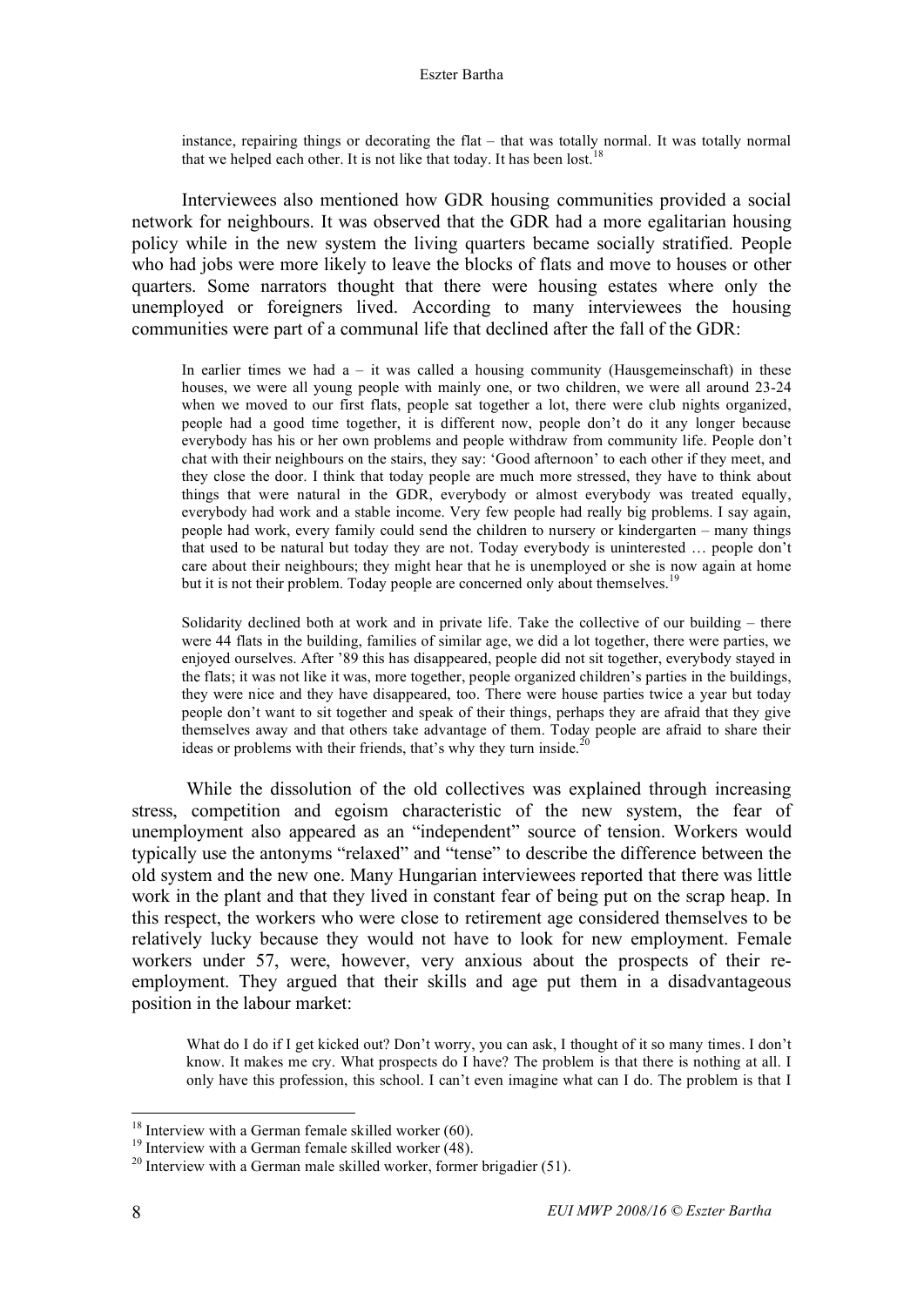instance, repairing things or decorating the flat – that was totally normal. It was totally normal that we helped each other. It is not like that today. It has been lost.<sup>18</sup>

Interviewees also mentioned how GDR housing communities provided a social network for neighbours. It was observed that the GDR had a more egalitarian housing policy while in the new system the living quarters became socially stratified. People who had jobs were more likely to leave the blocks of flats and move to houses or other quarters. Some narrators thought that there were housing estates where only the unemployed or foreigners lived. According to many interviewees the housing communities were part of a communal life that declined after the fall of the GDR:

In earlier times we had  $a - it$  was called a housing community (Hausgemeinschaft) in these houses, we were all young people with mainly one, or two children, we were all around 23-24 when we moved to our first flats, people sat together a lot, there were club nights organized, people had a good time together, it is different now, people don't do it any longer because everybody has his or her own problems and people withdraw from community life. People don't chat with their neighbours on the stairs, they say: 'Good afternoon' to each other if they meet, and they close the door. I think that today people are much more stressed, they have to think about things that were natural in the GDR, everybody or almost everybody was treated equally, everybody had work and a stable income. Very few people had really big problems. I say again, people had work, every family could send the children to nursery or kindergarten – many things that used to be natural but today they are not. Today everybody is uninterested … people don't care about their neighbours; they might hear that he is unemployed or she is now again at home but it is not their problem. Today people are concerned only about themselves.<sup>19</sup>

Solidarity declined both at work and in private life. Take the collective of our building – there were 44 flats in the building, families of similar age, we did a lot together, there were parties, we enjoyed ourselves. After '89 this has disappeared, people did not sit together, everybody stayed in the flats; it was not like it was, more together, people organized children's parties in the buildings, they were nice and they have disappeared, too. There were house parties twice a year but today people don't want to sit together and speak of their things, perhaps they are afraid that they give themselves away and that others take advantage of them. Today people are afraid to share their ideas or problems with their friends, that's why they turn inside.<sup>20</sup>

While the dissolution of the old collectives was explained through increasing stress, competition and egoism characteristic of the new system, the fear of unemployment also appeared as an "independent" source of tension. Workers would typically use the antonyms "relaxed" and "tense" to describe the difference between the old system and the new one. Many Hungarian interviewees reported that there was little work in the plant and that they lived in constant fear of being put on the scrap heap. In this respect, the workers who were close to retirement age considered themselves to be relatively lucky because they would not have to look for new employment. Female workers under 57, were, however, very anxious about the prospects of their reemployment. They argued that their skills and age put them in a disadvantageous position in the labour market:

What do I do if I get kicked out? Don't worry, you can ask, I thought of it so many times. I don't know. It makes me cry. What prospects do I have? The problem is that there is nothing at all. I only have this profession, this school. I can't even imagine what can I do. The problem is that I

<sup>&</sup>lt;sup>18</sup> Interview with a German female skilled worker (60).<br><sup>19</sup> Interview with a German female skilled worker (48).<br><sup>20</sup> Interview with a German male skilled worker, former brigadier (51).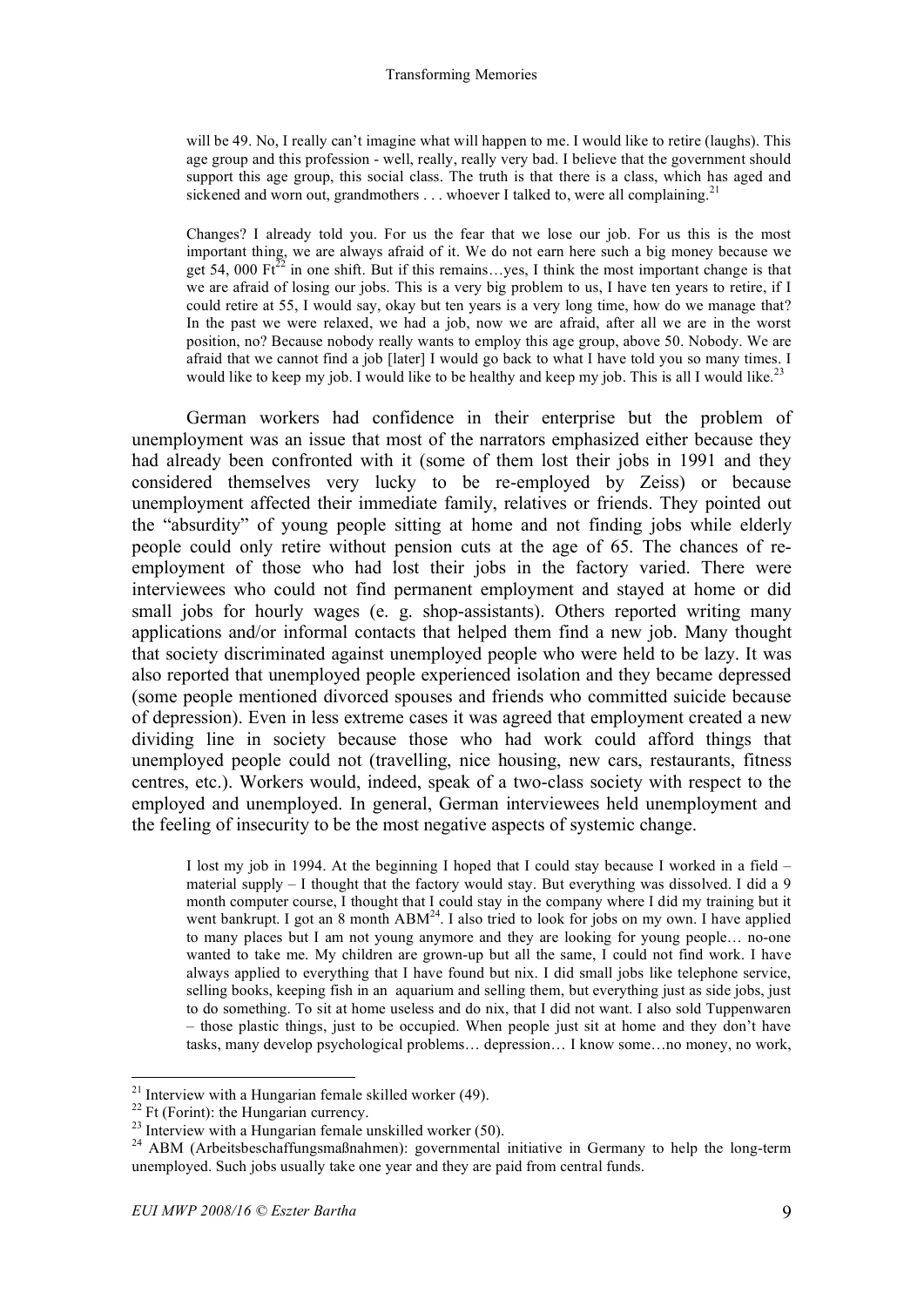will be 49. No, I really can't imagine what will happen to me. I would like to retire (laughs). This age group and this profession - well, really, really very bad. I believe that the government should support this age group, this social class. The truth is that there is a class, which has aged and sickened and worn out, grandmothers . . . whoever I talked to, were all complaining.<sup>21</sup>

Changes? I already told you. For us the fear that we lose our job. For us this is the most important thing, we are always afraid of it. We do not earn here such a big money because we get 54, 000  $\text{Fr}^{\overline{22}}$  in one shift. But if this remains...yes, I think the most important change is that we are afraid of losing our jobs. This is a very big problem to us, I have ten years to retire, if I could retire at 55, I would say, okay but ten years is a very long time, how do we manage that? In the past we were relaxed, we had a job, now we are afraid, after all we are in the worst position, no? Because nobody really wants to employ this age group, above 50. Nobody. We are afraid that we cannot find a job [later] I would go back to what I have told you so many times. I would like to keep my job. I would like to be healthy and keep my job. This is all I would like.<sup>23</sup>

German workers had confidence in their enterprise but the problem of unemployment was an issue that most of the narrators emphasized either because they had already been confronted with it (some of them lost their jobs in 1991 and they considered themselves very lucky to be re-employed by Zeiss) or because unemployment affected their immediate family, relatives or friends. They pointed out the "absurdity" of young people sitting at home and not finding jobs while elderly people could only retire without pension cuts at the age of 65. The chances of reemployment of those who had lost their jobs in the factory varied. There were interviewees who could not find permanent employment and stayed at home or did small jobs for hourly wages (e. g. shop-assistants). Others reported writing many applications and/or informal contacts that helped them find a new job. Many thought that society discriminated against unemployed people who were held to be lazy. It was also reported that unemployed people experienced isolation and they became depressed (some people mentioned divorced spouses and friends who committed suicide because of depression). Even in less extreme cases it was agreed that employment created a new dividing line in society because those who had work could afford things that unemployed people could not (travelling, nice housing, new cars, restaurants, fitness centres, etc.). Workers would, indeed, speak of a two-class society with respect to the employed and unemployed. In general, German interviewees held unemployment and the feeling of insecurity to be the most negative aspects of systemic change.

I lost my job in 1994. At the beginning I hoped that I could stay because I worked in a field – material supply  $-1$  thought that the factory would stay. But everything was dissolved. I did a 9 month computer course, I thought that I could stay in the company where I did my training but it went bankrupt. I got an 8 month ABM<sup>24</sup>. I also tried to look for jobs on my own. I have applied to many places but I am not young anymore and they are looking for young people… no-one wanted to take me. My children are grown-up but all the same, I could not find work. I have always applied to everything that I have found but nix. I did small jobs like telephone service, selling books, keeping fish in an aquarium and selling them, but everything just as side jobs, just to do something. To sit at home useless and do nix, that I did not want. I also sold Tuppenwaren – those plastic things, just to be occupied. When people just sit at home and they don't have tasks, many develop psychological problems… depression… I know some…no money, no work,

<sup>&</sup>lt;sup>21</sup> Interview with a Hungarian female skilled worker (49).<br><sup>22</sup> Ft (Forint): the Hungarian currency.<br><sup>23</sup> Interview with a Hungarian female unskilled worker (50).<br><sup>24</sup> ABM (Arbeitsbeschaffungsmaßnahmen): governmental ini unemployed. Such jobs usually take one year and they are paid from central funds.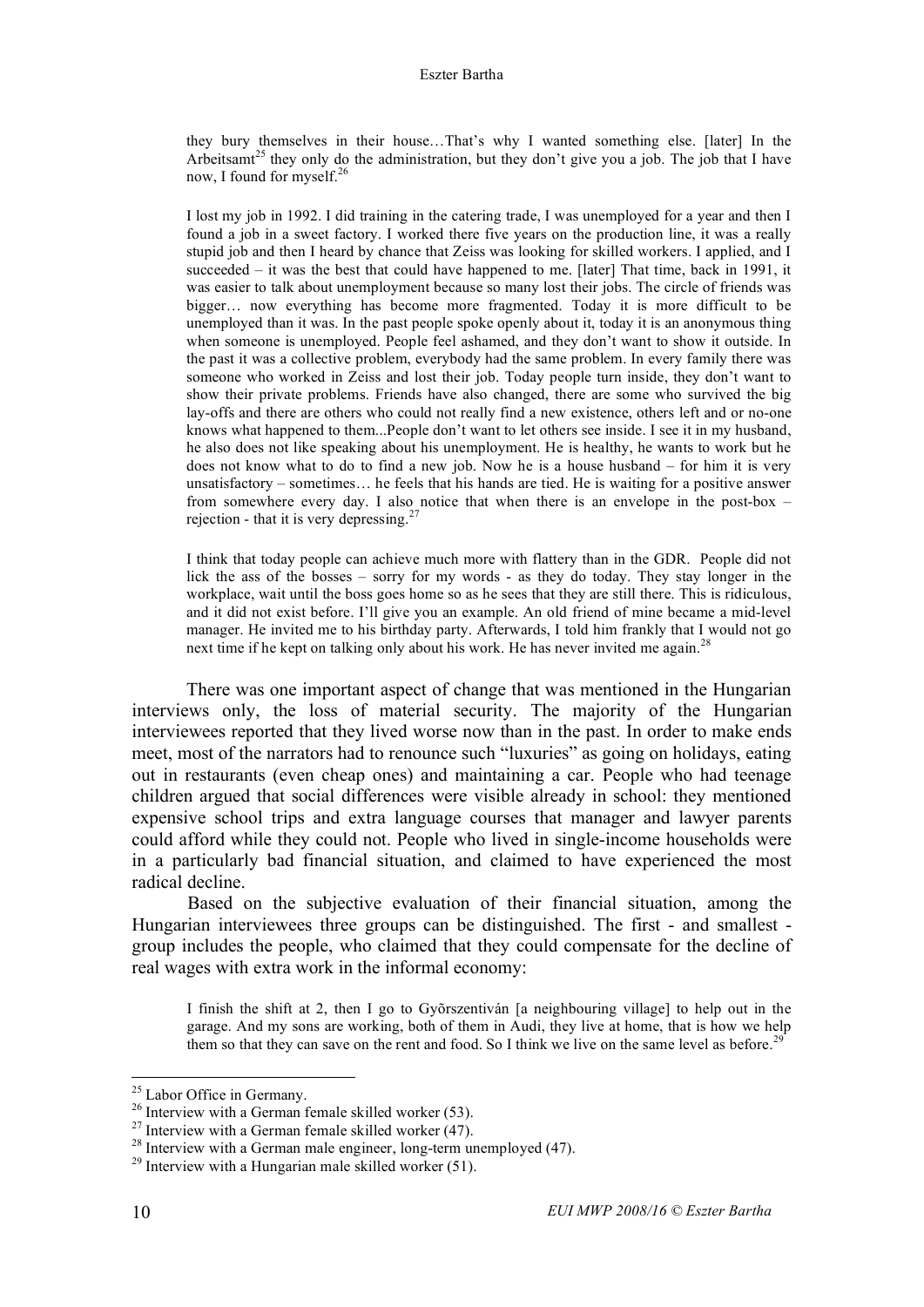they bury themselves in their house…That's why I wanted something else. [later] In the Arbeitsamt<sup>25</sup> they only do the administration, but they don't give you a job. The job that I have now, I found for myself. 26

I lost my job in 1992. I did training in the catering trade, I was unemployed for a year and then I found a job in a sweet factory. I worked there five years on the production line, it was a really stupid job and then I heard by chance that Zeiss was looking for skilled workers. I applied, and I succeeded – it was the best that could have happened to me. [later] That time, back in 1991, it was easier to talk about unemployment because so many lost their jobs. The circle of friends was bigger… now everything has become more fragmented. Today it is more difficult to be unemployed than it was. In the past people spoke openly about it, today it is an anonymous thing when someone is unemployed. People feel ashamed, and they don't want to show it outside. In the past it was a collective problem, everybody had the same problem. In every family there was someone who worked in Zeiss and lost their job. Today people turn inside, they don't want to show their private problems. Friends have also changed, there are some who survived the big lay-offs and there are others who could not really find a new existence, others left and or no-one knows what happened to them...People don't want to let others see inside. I see it in my husband, he also does not like speaking about his unemployment. He is healthy, he wants to work but he does not know what to do to find a new job. Now he is a house husband – for him it is very unsatisfactory – sometimes… he feels that his hands are tied. He is waiting for a positive answer from somewhere every day. I also notice that when there is an envelope in the post-box – rejection - that it is very depressing. $27$ 

I think that today people can achieve much more with flattery than in the GDR. People did not lick the ass of the bosses – sorry for my words - as they do today. They stay longer in the workplace, wait until the boss goes home so as he sees that they are still there. This is ridiculous, and it did not exist before. I'll give you an example. An old friend of mine became a mid-level manager. He invited me to his birthday party. Afterwards, I told him frankly that I would not go next time if he kept on talking only about his work. He has never invited me again.<sup>28</sup>

There was one important aspect of change that was mentioned in the Hungarian interviews only, the loss of material security. The majority of the Hungarian interviewees reported that they lived worse now than in the past. In order to make ends meet, most of the narrators had to renounce such "luxuries" as going on holidays, eating out in restaurants (even cheap ones) and maintaining a car. People who had teenage children argued that social differences were visible already in school: they mentioned expensive school trips and extra language courses that manager and lawyer parents could afford while they could not. People who lived in single-income households were in a particularly bad financial situation, and claimed to have experienced the most radical decline.

Based on the subjective evaluation of their financial situation, among the Hungarian interviewees three groups can be distinguished. The first - and smallest group includes the people, who claimed that they could compensate for the decline of real wages with extra work in the informal economy:

I finish the shift at 2, then I go to Gyõrszentiván [a neighbouring village] to help out in the garage. And my sons are working, both of them in Audi, they live at home, that is how we help them so that they can save on the rent and food. So I think we live on the same level as before.<sup>29</sup>

<sup>&</sup>lt;sup>25</sup> Labor Office in Germany.<br><sup>26</sup> Interview with a German female skilled worker (53).<br><sup>27</sup> Interview with a German female skilled worker (47).<br><sup>28</sup> Interview with a German male engineer, long-term unemployed (47).<br><sup>29</sup> I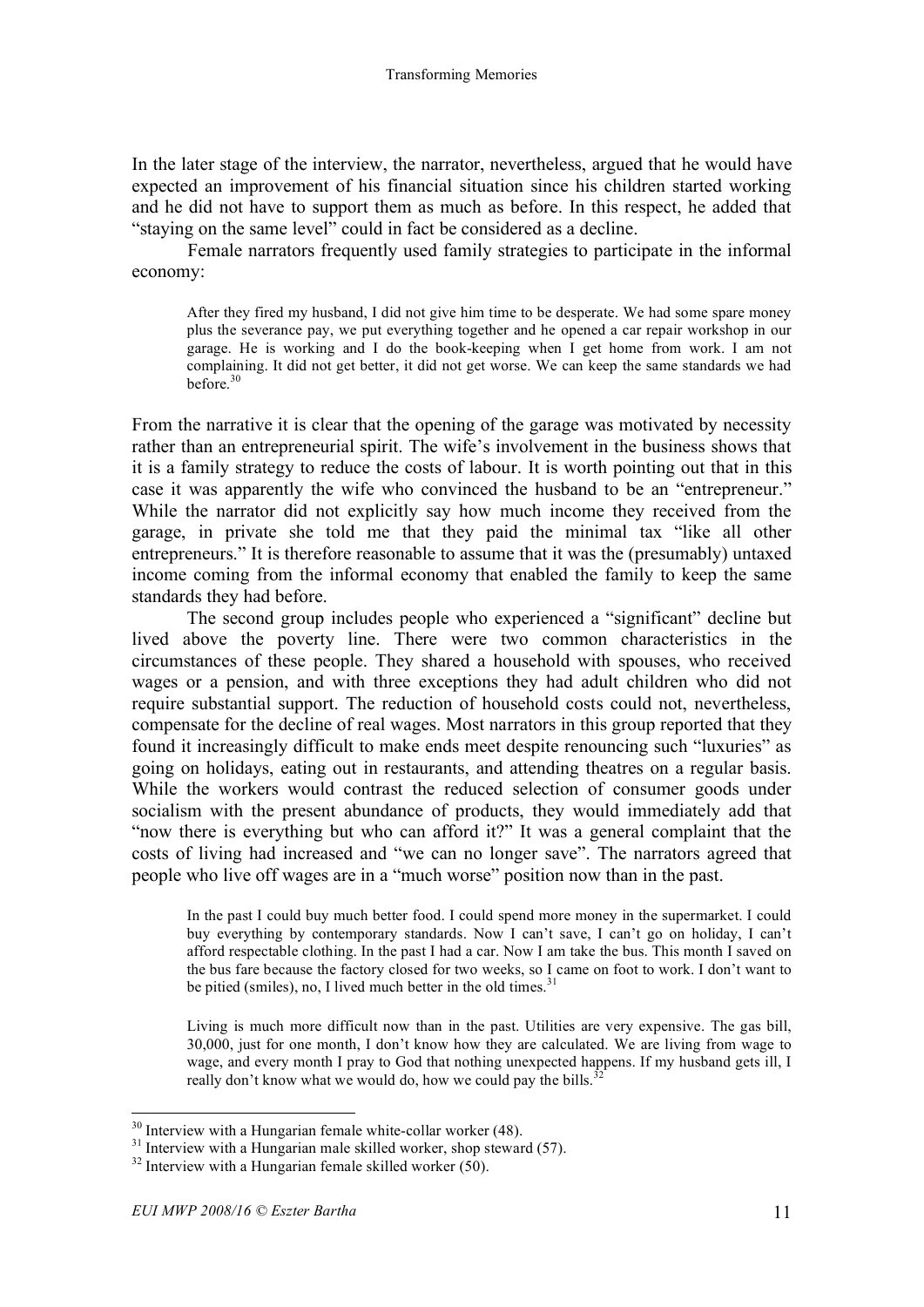In the later stage of the interview, the narrator, nevertheless, argued that he would have expected an improvement of his financial situation since his children started working and he did not have to support them as much as before. In this respect, he added that "staying on the same level" could in fact be considered as a decline.

Female narrators frequently used family strategies to participate in the informal economy:

After they fired my husband, I did not give him time to be desperate. We had some spare money plus the severance pay, we put everything together and he opened a car repair workshop in our garage. He is working and I do the book-keeping when I get home from work. I am not complaining. It did not get better, it did not get worse. We can keep the same standards we had before. 30

From the narrative it is clear that the opening of the garage was motivated by necessity rather than an entrepreneurial spirit. The wife's involvement in the business shows that it is a family strategy to reduce the costs of labour. It is worth pointing out that in this case it was apparently the wife who convinced the husband to be an "entrepreneur." While the narrator did not explicitly say how much income they received from the garage, in private she told me that they paid the minimal tax "like all other entrepreneurs." It is therefore reasonable to assume that it was the (presumably) untaxed income coming from the informal economy that enabled the family to keep the same standards they had before.

The second group includes people who experienced a "significant" decline but lived above the poverty line. There were two common characteristics in the circumstances of these people. They shared a household with spouses, who received wages or a pension, and with three exceptions they had adult children who did not require substantial support. The reduction of household costs could not, nevertheless, compensate for the decline of real wages. Most narrators in this group reported that they found it increasingly difficult to make ends meet despite renouncing such "luxuries" as going on holidays, eating out in restaurants, and attending theatres on a regular basis. While the workers would contrast the reduced selection of consumer goods under socialism with the present abundance of products, they would immediately add that "now there is everything but who can afford it?" It was a general complaint that the costs of living had increased and "we can no longer save". The narrators agreed that people who live off wages are in a "much worse" position now than in the past.

In the past I could buy much better food. I could spend more money in the supermarket. I could buy everything by contemporary standards. Now I can't save, I can't go on holiday, I can't afford respectable clothing. In the past I had a car. Now I am take the bus. This month I saved on the bus fare because the factory closed for two weeks, so I came on foot to work. I don't want to be pitied (smiles), no, I lived much better in the old times.<sup>31</sup>

Living is much more difficult now than in the past. Utilities are very expensive. The gas bill, 30,000, just for one month, I don't know how they are calculated. We are living from wage to wage, and every month I pray to God that nothing unexpected happens. If my husband gets ill, I really don't know what we would do, how we could pay the bills.<sup>32</sup>

<sup>&</sup>lt;sup>30</sup> Interview with a Hungarian female white-collar worker (48).<br><sup>31</sup> Interview with a Hungarian male skilled worker, shop steward (57).<br><sup>32</sup> Interview with a Hungarian female skilled worker (50).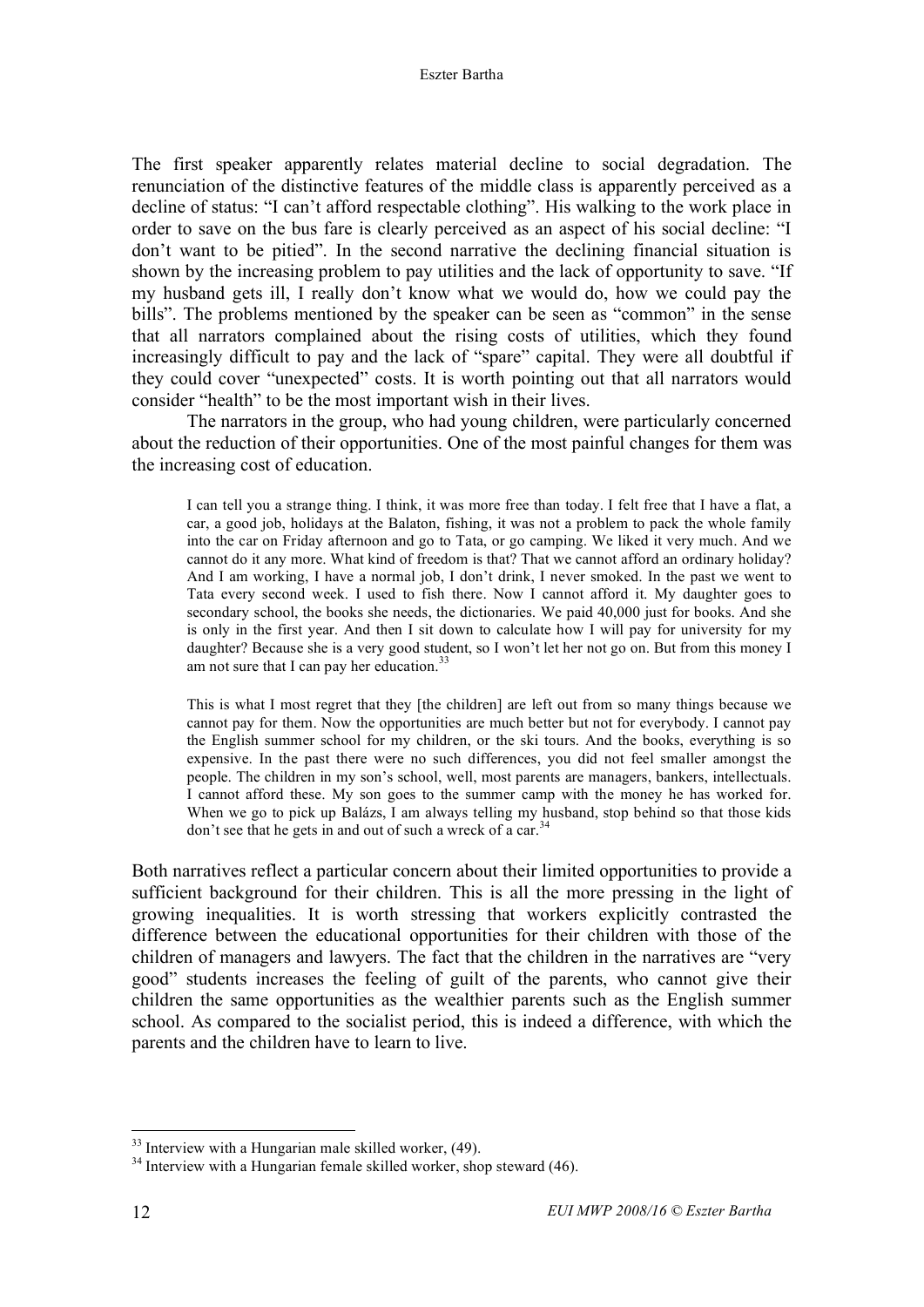The first speaker apparently relates material decline to social degradation. The renunciation of the distinctive features of the middle class is apparently perceived as a decline of status: "I can't afford respectable clothing". His walking to the work place in order to save on the bus fare is clearly perceived as an aspect of his social decline: "I don't want to be pitied". In the second narrative the declining financial situation is shown by the increasing problem to pay utilities and the lack of opportunity to save. "If my husband gets ill, I really don't know what we would do, how we could pay the bills". The problems mentioned by the speaker can be seen as "common" in the sense that all narrators complained about the rising costs of utilities, which they found increasingly difficult to pay and the lack of "spare" capital. They were all doubtful if they could cover "unexpected" costs. It is worth pointing out that all narrators would consider "health" to be the most important wish in their lives.

The narrators in the group, who had young children, were particularly concerned about the reduction of their opportunities. One of the most painful changes for them was the increasing cost of education.

I can tell you a strange thing. I think, it was more free than today. I felt free that I have a flat, a car, a good job, holidays at the Balaton, fishing, it was not a problem to pack the whole family into the car on Friday afternoon and go to Tata, or go camping. We liked it very much. And we cannot do it any more. What kind of freedom is that? That we cannot afford an ordinary holiday? And I am working, I have a normal job, I don't drink, I never smoked. In the past we went to Tata every second week. I used to fish there. Now I cannot afford it. My daughter goes to secondary school, the books she needs, the dictionaries. We paid 40,000 just for books. And she is only in the first year. And then I sit down to calculate how I will pay for university for my daughter? Because she is a very good student, so I won't let her not go on. But from this money I am not sure that I can pay her education.<sup>33</sup>

This is what I most regret that they [the children] are left out from so many things because we cannot pay for them. Now the opportunities are much better but not for everybody. I cannot pay the English summer school for my children, or the ski tours. And the books, everything is so expensive. In the past there were no such differences, you did not feel smaller amongst the people. The children in my son's school, well, most parents are managers, bankers, intellectuals. I cannot afford these. My son goes to the summer camp with the money he has worked for. When we go to pick up Balázs, I am always telling my husband, stop behind so that those kids don't see that he gets in and out of such a wreck of a car.<sup>34</sup>

Both narratives reflect a particular concern about their limited opportunities to provide a sufficient background for their children. This is all the more pressing in the light of growing inequalities. It is worth stressing that workers explicitly contrasted the difference between the educational opportunities for their children with those of the children of managers and lawyers. The fact that the children in the narratives are "very good" students increases the feeling of guilt of the parents, who cannot give their children the same opportunities as the wealthier parents such as the English summer school. As compared to the socialist period, this is indeed a difference, with which the parents and the children have to learn to live.

 $33$  Interview with a Hungarian male skilled worker, (49).<br> $34$  Interview with a Hungarian female skilled worker, shop steward (46).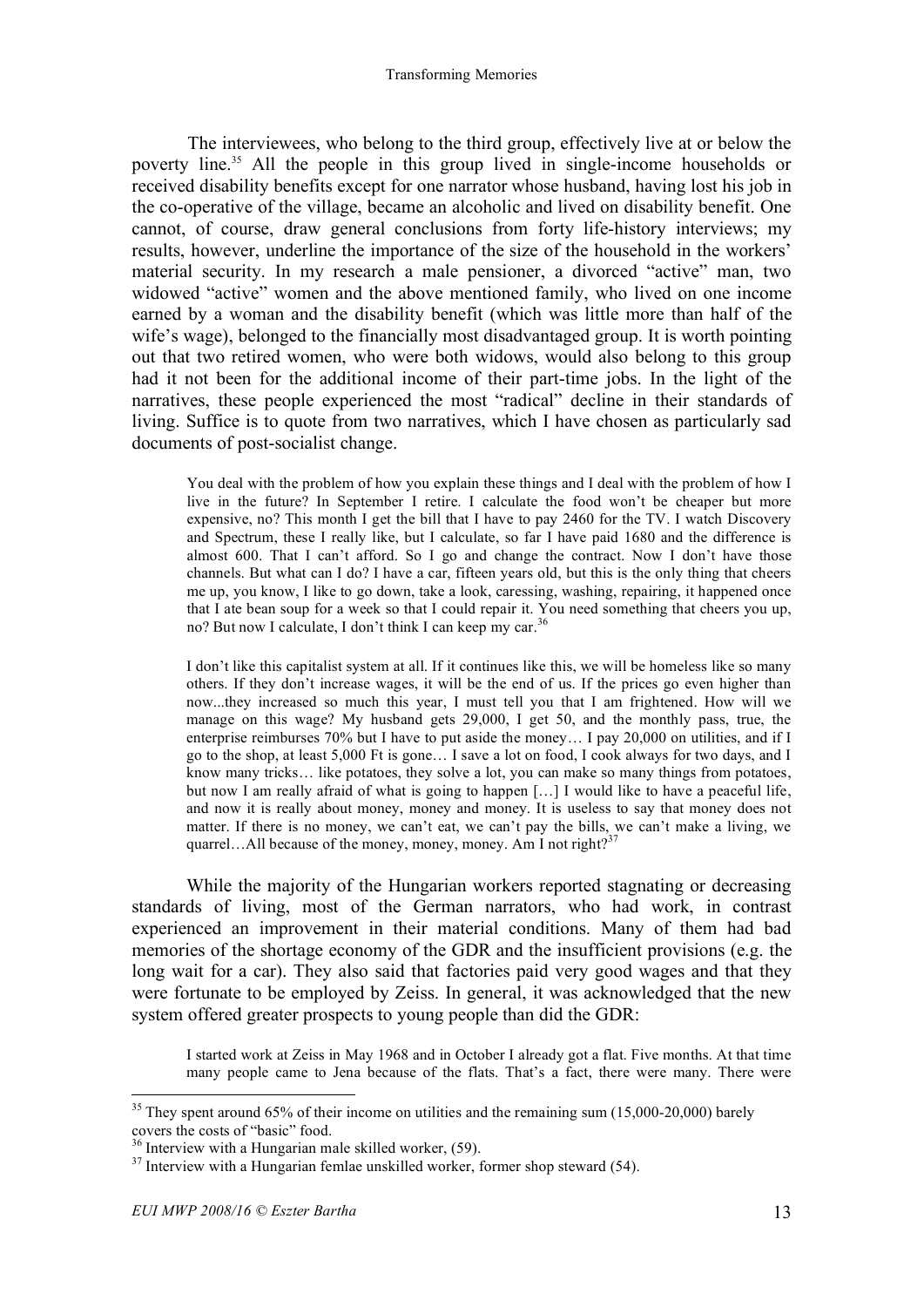The interviewees, who belong to the third group, effectively live at or below the poverty line. <sup>35</sup> All the people in this group lived in single-income households or received disability benefits except for one narrator whose husband, having lost his job in the co-operative of the village, became an alcoholic and lived on disability benefit. One cannot, of course, draw general conclusions from forty life-history interviews; my results, however, underline the importance of the size of the household in the workers' material security. In my research a male pensioner, a divorced "active" man, two widowed "active" women and the above mentioned family, who lived on one income earned by a woman and the disability benefit (which was little more than half of the wife's wage), belonged to the financially most disadvantaged group. It is worth pointing out that two retired women, who were both widows, would also belong to this group had it not been for the additional income of their part-time jobs. In the light of the narratives, these people experienced the most "radical" decline in their standards of living. Suffice is to quote from two narratives, which I have chosen as particularly sad documents of post-socialist change.

You deal with the problem of how you explain these things and I deal with the problem of how I live in the future? In September I retire. I calculate the food won't be cheaper but more expensive, no? This month I get the bill that I have to pay 2460 for the TV. I watch Discovery and Spectrum, these I really like, but I calculate, so far I have paid 1680 and the difference is almost 600. That I can't afford. So I go and change the contract. Now I don't have those channels. But what can I do? I have a car, fifteen years old, but this is the only thing that cheers me up, you know, I like to go down, take a look, caressing, washing, repairing, it happened once that I ate bean soup for a week so that I could repair it. You need something that cheers you up, no? But now I calculate, I don't think I can keep my car.<sup>36</sup>

I don't like this capitalist system at all. If it continues like this, we will be homeless like so many others. If they don't increase wages, it will be the end of us. If the prices go even higher than now...they increased so much this year, I must tell you that I am frightened. How will we manage on this wage? My husband gets 29,000, I get 50, and the monthly pass, true, the enterprise reimburses 70% but I have to put aside the money… I pay 20,000 on utilities, and if I go to the shop, at least 5,000 Ft is gone… I save a lot on food, I cook always for two days, and I know many tricks… like potatoes, they solve a lot, you can make so many things from potatoes, but now I am really afraid of what is going to happen […] I would like to have a peaceful life, and now it is really about money, money and money. It is useless to say that money does not matter. If there is no money, we can't eat, we can't pay the bills, we can't make a living, we quarrel...All because of the money, money, money. Am I not right?<sup>37</sup>

While the majority of the Hungarian workers reported stagnating or decreasing standards of living, most of the German narrators, who had work, in contrast experienced an improvement in their material conditions. Many of them had bad memories of the shortage economy of the GDR and the insufficient provisions (e.g. the long wait for a car). They also said that factories paid very good wages and that they were fortunate to be employed by Zeiss. In general, it was acknowledged that the new system offered greater prospects to young people than did the GDR:

I started work at Zeiss in May 1968 and in October I already got a flat. Five months. At that time many people came to Jena because of the flats. That's a fact, there were many. There were

 $35$  They spent around 65% of their income on utilities and the remaining sum (15,000-20,000) barely covers the costs of "basic" food.

<sup>&</sup>lt;sup>36</sup> Interview with a Hungarian male skilled worker, (59).  $37$  Interview with a Hungarian femlae unskilled worker, former shop steward (54).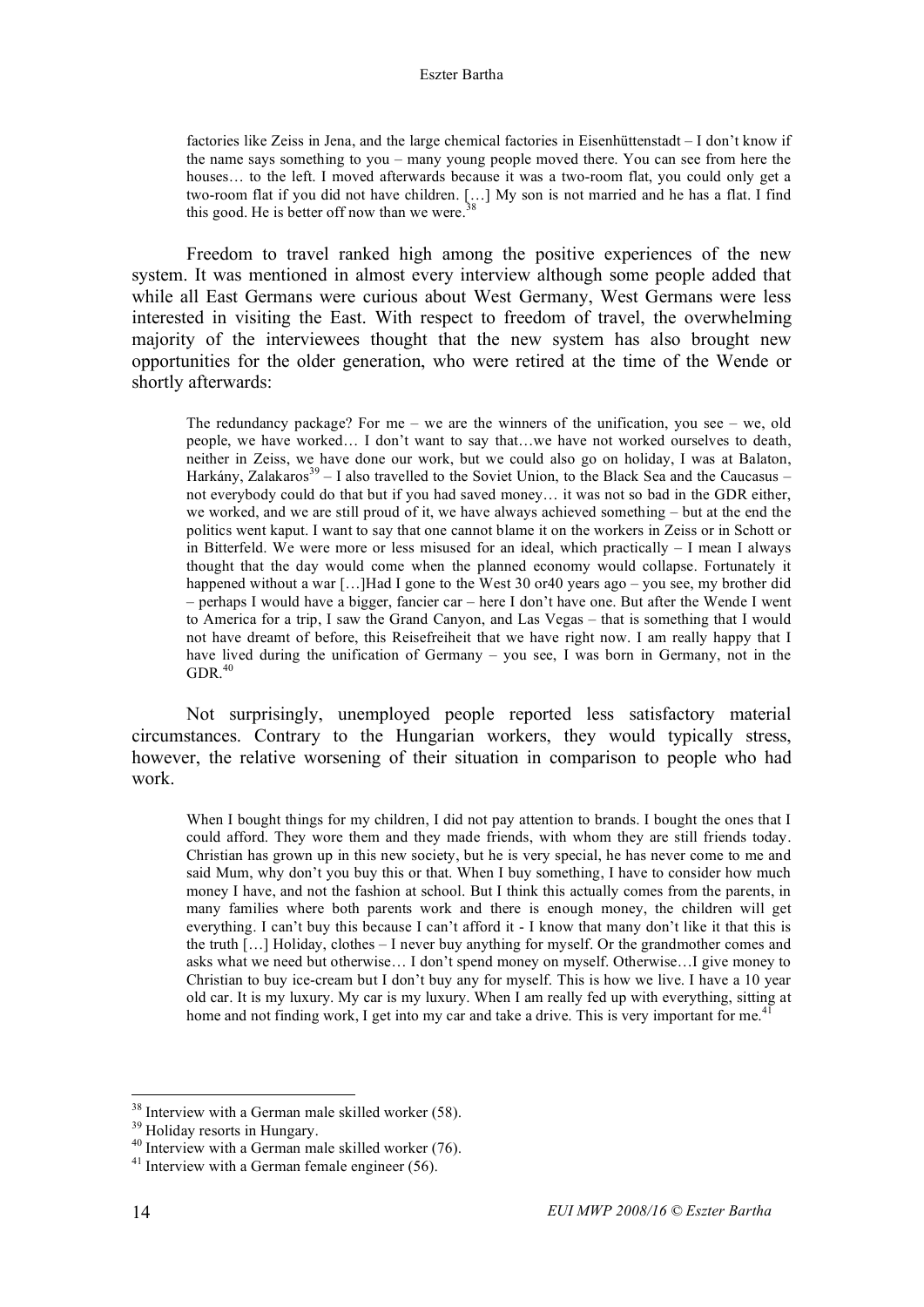factories like Zeiss in Jena, and the large chemical factories in Eisenhüttenstadt – I don't know if the name says something to you – many young people moved there. You can see from here the houses... to the left. I moved afterwards because it was a two-room flat, you could only get a two-room flat if you did not have children. [...] My son is not married and he has a flat. I find<br>this good. He is better off now than we were  $38$ this good. He is better off now than we were.

Freedom to travel ranked high among the positive experiences of the new system. It was mentioned in almost every interview although some people added that while all East Germans were curious about West Germany, West Germans were less interested in visiting the East. With respect to freedom of travel, the overwhelming majority of the interviewees thought that the new system has also brought new opportunities for the older generation, who were retired at the time of the Wende or shortly afterwards:

The redundancy package? For me – we are the winners of the unification, you see – we, old people, we have worked… I don't want to say that…we have not worked ourselves to death, neither in Zeiss, we have done our work, but we could also go on holiday, I was at Balaton, Harkány, Zalakaros<sup>39</sup> – I also travelled to the Soviet Union, to the Black Sea and the Caucasus – not everybody could do that but if you had saved money… it was not so bad in the GDR either, we worked, and we are still proud of it, we have always achieved something – but at the end the politics went kaput. I want to say that one cannot blame it on the workers in Zeiss or in Schott or in Bitterfeld. We were more or less misused for an ideal, which practically – I mean I always thought that the day would come when the planned economy would collapse. Fortunately it happened without a war [...]Had I gone to the West 30 or 40 years ago – you see, my brother did – perhaps I would have a bigger, fancier car – here I don't have one. But after the Wende I went to America for a trip, I saw the Grand Canyon, and Las Vegas – that is something that I would not have dreamt of before, this Reisefreiheit that we have right now. I am really happy that I have lived during the unification of Germany – you see, I was born in Germany, not in the  $GDR.<sup>40</sup>$ 

Not surprisingly, unemployed people reported less satisfactory material circumstances. Contrary to the Hungarian workers, they would typically stress, however, the relative worsening of their situation in comparison to people who had work.

When I bought things for my children, I did not pay attention to brands. I bought the ones that I could afford. They wore them and they made friends, with whom they are still friends today. Christian has grown up in this new society, but he is very special, he has never come to me and said Mum, why don't you buy this or that. When I buy something, I have to consider how much money I have, and not the fashion at school. But I think this actually comes from the parents, in many families where both parents work and there is enough money, the children will get everything. I can't buy this because I can't afford it - I know that many don't like it that this is the truth […] Holiday, clothes – I never buy anything for myself. Or the grandmother comes and asks what we need but otherwise… I don't spend money on myself. Otherwise…I give money to Christian to buy ice-cream but I don't buy any for myself. This is how we live. I have a 10 year old car. It is my luxury. My car is my luxury. When I am really fed up with everything, sitting at home and not finding work, I get into my car and take a drive. This is very important for me.<sup>41</sup>

<sup>&</sup>lt;sup>38</sup> Interview with a German male skilled worker (58).<br><sup>39</sup> Holiday resorts in Hungary.<br><sup>40</sup> Interview with a German male skilled worker (76).<br><sup>41</sup> Interview with a German female engineer (56).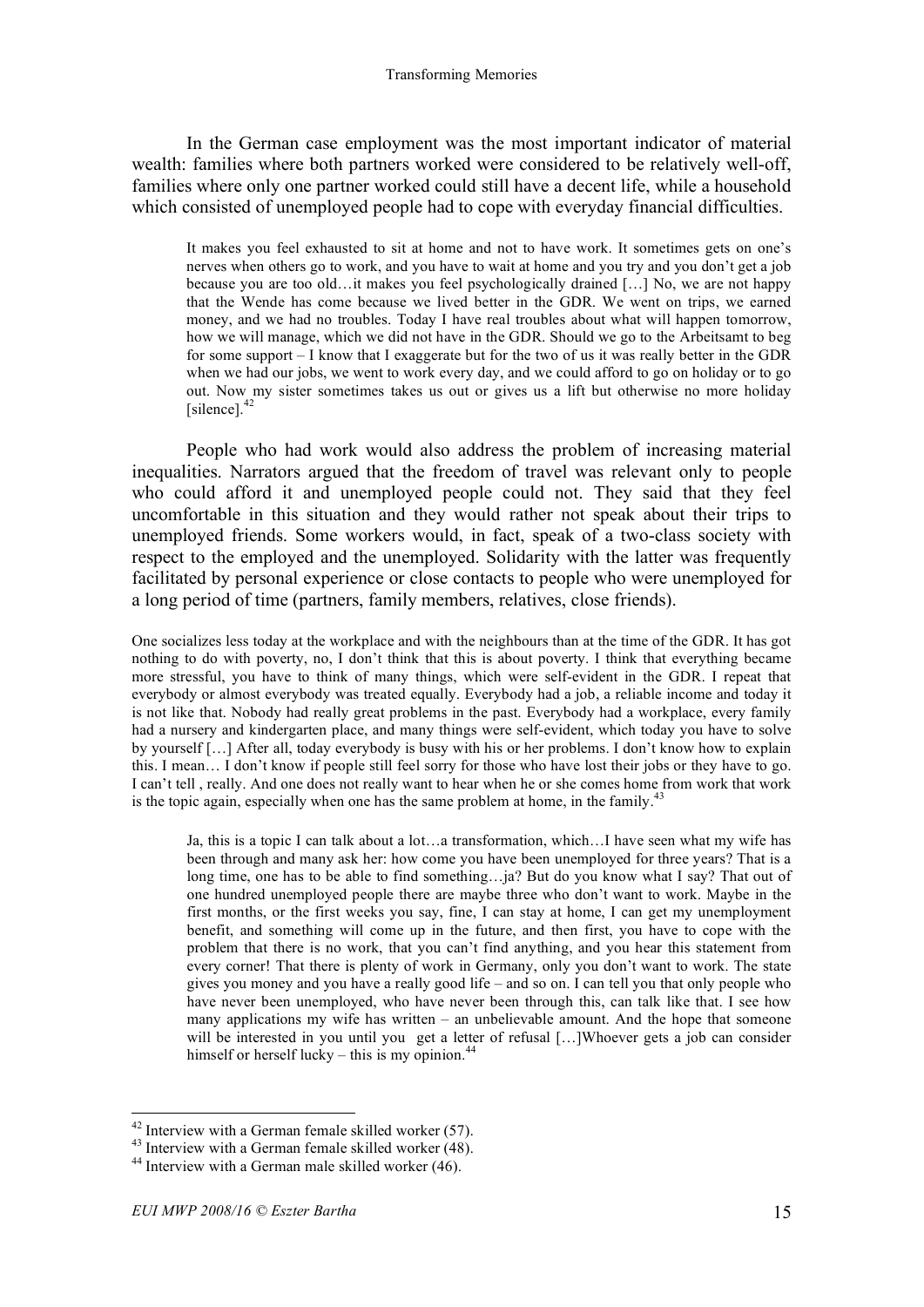In the German case employment was the most important indicator of material wealth: families where both partners worked were considered to be relatively well-off, families where only one partner worked could still have a decent life, while a household which consisted of unemployed people had to cope with everyday financial difficulties.

It makes you feel exhausted to sit at home and not to have work. It sometimes gets on one's nerves when others go to work, and you have to wait at home and you try and you don't get a job because you are too old…it makes you feel psychologically drained […] No, we are not happy that the Wende has come because we lived better in the GDR. We went on trips, we earned money, and we had no troubles. Today I have real troubles about what will happen tomorrow, how we will manage, which we did not have in the GDR. Should we go to the Arbeitsamt to beg for some support – I know that I exaggerate but for the two of us it was really better in the GDR when we had our jobs, we went to work every day, and we could afford to go on holiday or to go out. Now my sister sometimes takes us out or gives us a lift but otherwise no more holiday [silence].<sup>42</sup>

People who had work would also address the problem of increasing material inequalities. Narrators argued that the freedom of travel was relevant only to people who could afford it and unemployed people could not. They said that they feel uncomfortable in this situation and they would rather not speak about their trips to unemployed friends. Some workers would, in fact, speak of a two-class society with respect to the employed and the unemployed. Solidarity with the latter was frequently facilitated by personal experience or close contacts to people who were unemployed for a long period of time (partners, family members, relatives, close friends).

One socializes less today at the workplace and with the neighbours than at the time of the GDR. It has got nothing to do with poverty, no, I don't think that this is about poverty. I think that everything became more stressful, you have to think of many things, which were self-evident in the GDR. I repeat that everybody or almost everybody was treated equally. Everybody had a job, a reliable income and today it is not like that. Nobody had really great problems in the past. Everybody had a workplace, every family had a nursery and kindergarten place, and many things were self-evident, which today you have to solve by yourself […] After all, today everybody is busy with his or her problems. I don't know how to explain this. I mean… I don't know if people still feel sorry for those who have lost their jobs or they have to go. I can't tell , really. And one does not really want to hear when he or she comes home from work that work is the topic again, especially when one has the same problem at home, in the family.<sup>43</sup>

Ja, this is a topic I can talk about a lot…a transformation, which…I have seen what my wife has been through and many ask her: how come you have been unemployed for three years? That is a long time, one has to be able to find something…ja? But do you know what I say? That out of one hundred unemployed people there are maybe three who don't want to work. Maybe in the first months, or the first weeks you say, fine, I can stay at home, I can get my unemployment benefit, and something will come up in the future, and then first, you have to cope with the problem that there is no work, that you can't find anything, and you hear this statement from every corner! That there is plenty of work in Germany, only you don't want to work. The state gives you money and you have a really good life – and so on. I can tell you that only people who have never been unemployed, who have never been through this, can talk like that. I see how many applications my wife has written – an unbelievable amount. And the hope that someone will be interested in you until you get a letter of refusal [...]Whoever gets a job can consider himself or herself lucky – this is my opinion. $44$ 

<sup>&</sup>lt;sup>42</sup> Interview with a German female skilled worker (57).<br><sup>43</sup> Interview with a German female skilled worker (48).<br><sup>44</sup> Interview with a German male skilled worker (46).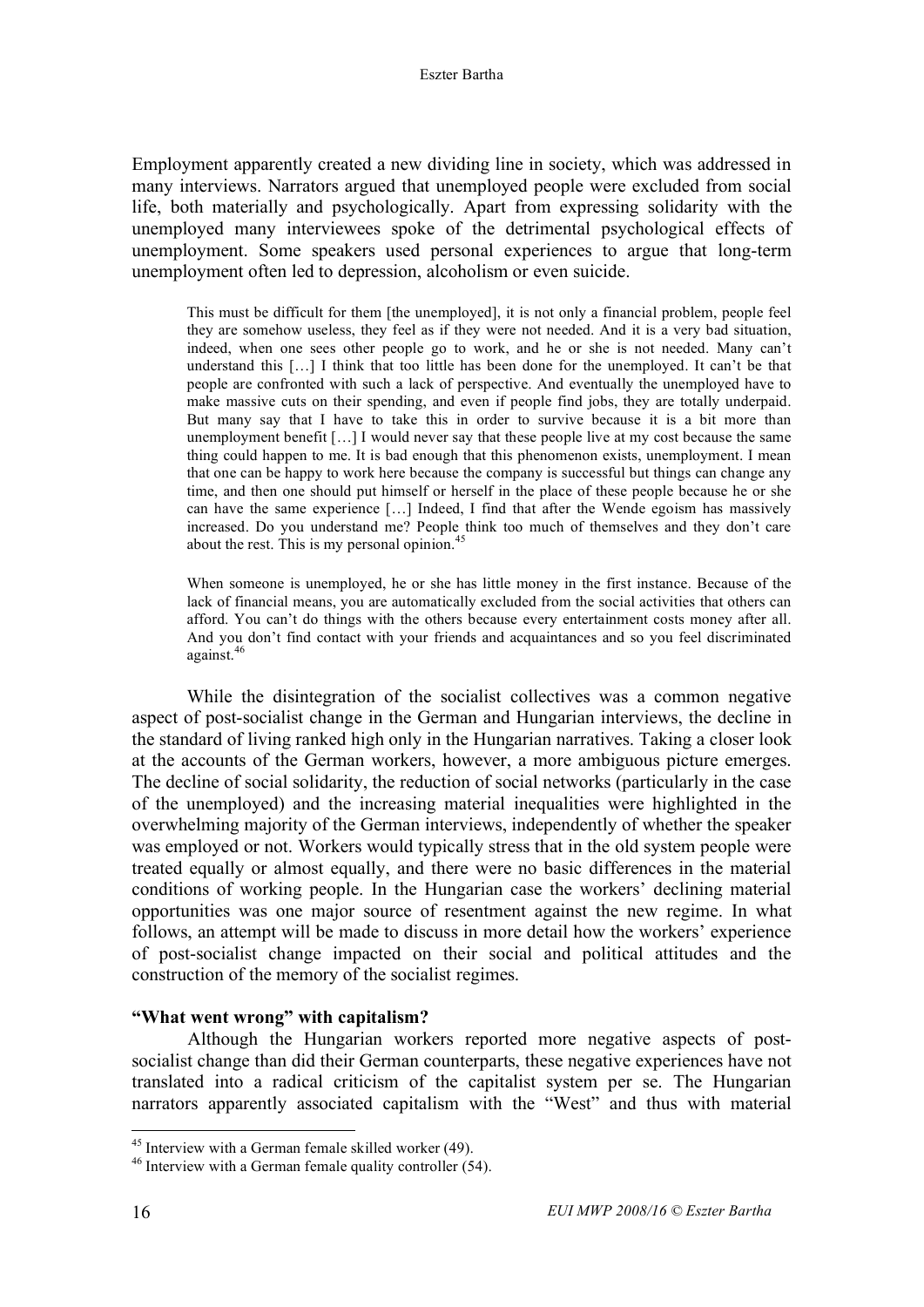Employment apparently created a new dividing line in society, which was addressed in many interviews. Narrators argued that unemployed people were excluded from social life, both materially and psychologically. Apart from expressing solidarity with the unemployed many interviewees spoke of the detrimental psychological effects of unemployment. Some speakers used personal experiences to argue that long-term unemployment often led to depression, alcoholism or even suicide.

This must be difficult for them [the unemployed], it is not only a financial problem, people feel they are somehow useless, they feel as if they were not needed. And it is a very bad situation, indeed, when one sees other people go to work, and he or she is not needed. Many can't understand this […] I think that too little has been done for the unemployed. It can't be that people are confronted with such a lack of perspective. And eventually the unemployed have to make massive cuts on their spending, and even if people find jobs, they are totally underpaid. But many say that I have to take this in order to survive because it is a bit more than unemployment benefit […] I would never say that these people live at my cost because the same thing could happen to me. It is bad enough that this phenomenon exists, unemployment. I mean that one can be happy to work here because the company is successful but things can change any time, and then one should put himself or herself in the place of these people because he or she can have the same experience […] Indeed, I find that after the Wende egoism has massively increased. Do you understand me? People think too much of themselves and they don't care about the rest. This is my personal opinion.<sup>45</sup>

When someone is unemployed, he or she has little money in the first instance. Because of the lack of financial means, you are automatically excluded from the social activities that others can afford. You can't do things with the others because every entertainment costs money after all. And you don't find contact with your friends and acquaintances and so you feel discriminated against. 46

While the disintegration of the socialist collectives was a common negative aspect of post-socialist change in the German and Hungarian interviews, the decline in the standard of living ranked high only in the Hungarian narratives. Taking a closer look at the accounts of the German workers, however, a more ambiguous picture emerges. The decline of social solidarity, the reduction of social networks (particularly in the case of the unemployed) and the increasing material inequalities were highlighted in the overwhelming majority of the German interviews, independently of whether the speaker was employed or not. Workers would typically stress that in the old system people were treated equally or almost equally, and there were no basic differences in the material conditions of working people. In the Hungarian case the workers' declining material opportunities was one major source of resentment against the new regime. In what follows, an attempt will be made to discuss in more detail how the workers' experience of post-socialist change impacted on their social and political attitudes and the construction of the memory of the socialist regimes.

## **"What went wrong" with capitalism?**

Although the Hungarian workers reported more negative aspects of postsocialist change than did their German counterparts, these negative experiences have not translated into a radical criticism of the capitalist system per se. The Hungarian narrators apparently associated capitalism with the "West" and thus with material

<sup>&</sup>lt;sup>45</sup> Interview with a German female skilled worker (49).<br><sup>46</sup> Interview with a German female quality controller (54).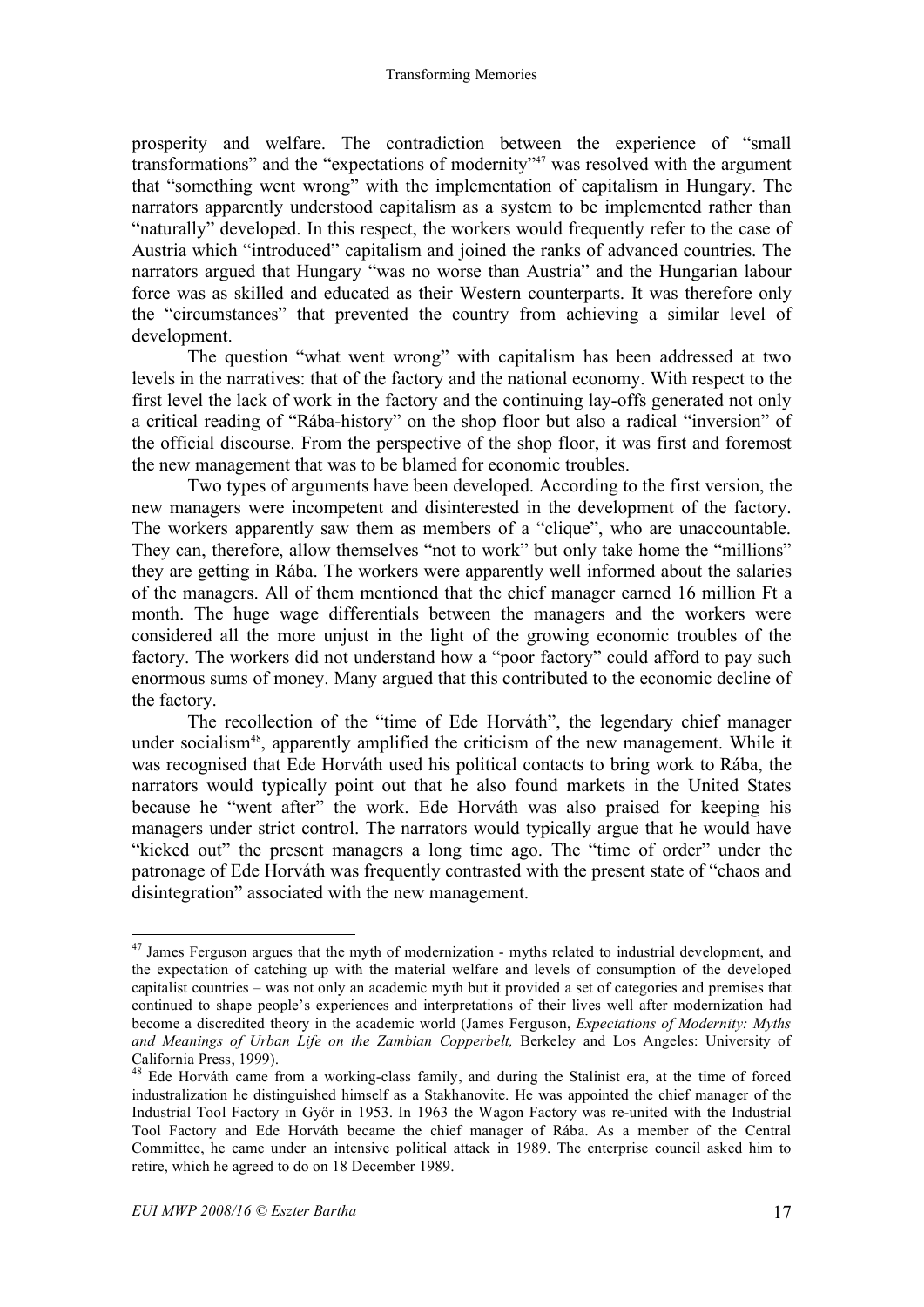prosperity and welfare. The contradiction between the experience of "small transformations" and the "expectations of modernity"47 was resolved with the argument that "something went wrong" with the implementation of capitalism in Hungary. The narrators apparently understood capitalism as a system to be implemented rather than "naturally" developed. In this respect, the workers would frequently refer to the case of Austria which "introduced" capitalism and joined the ranks of advanced countries. The narrators argued that Hungary "was no worse than Austria" and the Hungarian labour force was as skilled and educated as their Western counterparts. It was therefore only the "circumstances" that prevented the country from achieving a similar level of development.

The question "what went wrong" with capitalism has been addressed at two levels in the narratives: that of the factory and the national economy. With respect to the first level the lack of work in the factory and the continuing lay-offs generated not only a critical reading of "Rába-history" on the shop floor but also a radical "inversion" of the official discourse. From the perspective of the shop floor, it was first and foremost the new management that was to be blamed for economic troubles.

Two types of arguments have been developed. According to the first version, the new managers were incompetent and disinterested in the development of the factory. The workers apparently saw them as members of a "clique", who are unaccountable. They can, therefore, allow themselves "not to work" but only take home the "millions" they are getting in Rába. The workers were apparently well informed about the salaries of the managers. All of them mentioned that the chief manager earned 16 million Ft a month. The huge wage differentials between the managers and the workers were considered all the more unjust in the light of the growing economic troubles of the factory. The workers did not understand how a "poor factory" could afford to pay such enormous sums of money. Many argued that this contributed to the economic decline of the factory.

The recollection of the "time of Ede Horváth", the legendary chief manager under socialism<sup>48</sup>, apparently amplified the criticism of the new management. While it was recognised that Ede Horváth used his political contacts to bring work to Rába, the narrators would typically point out that he also found markets in the United States because he "went after" the work. Ede Horváth was also praised for keeping his managers under strict control. The narrators would typically argue that he would have "kicked out" the present managers a long time ago. The "time of order" under the patronage of Ede Horváth was frequently contrasted with the present state of "chaos and disintegration" associated with the new management.

 $47$  James Ferguson argues that the myth of modernization - myths related to industrial development, and the expectation of catching up with the material welfare and levels of consumption of the developed capitalist countries – was not only an academic myth but it provided a set of categories and premises that continued to shape people's experiences and interpretations of their lives well after modernization had become a discredited theory in the academic world (James Ferguson, *Expectations of Modernity: Myths and Meanings of Urban Life on the Zambian Copperbelt,* Berkeley and Los Angeles: University of

Ede Horváth came from a working-class family, and during the Stalinist era, at the time of forced industralization he distinguished himself as a Stakhanovite. He was appointed the chief manager of the Industrial Tool Factory in Győr in 1953. In 1963 the Wagon Factory was re-united with the Industrial Tool Factory and Ede Horváth became the chief manager of Rába. As a member of the Central Committee, he came under an intensive political attack in 1989. The enterprise council asked him to retire, which he agreed to do on 18 December 1989.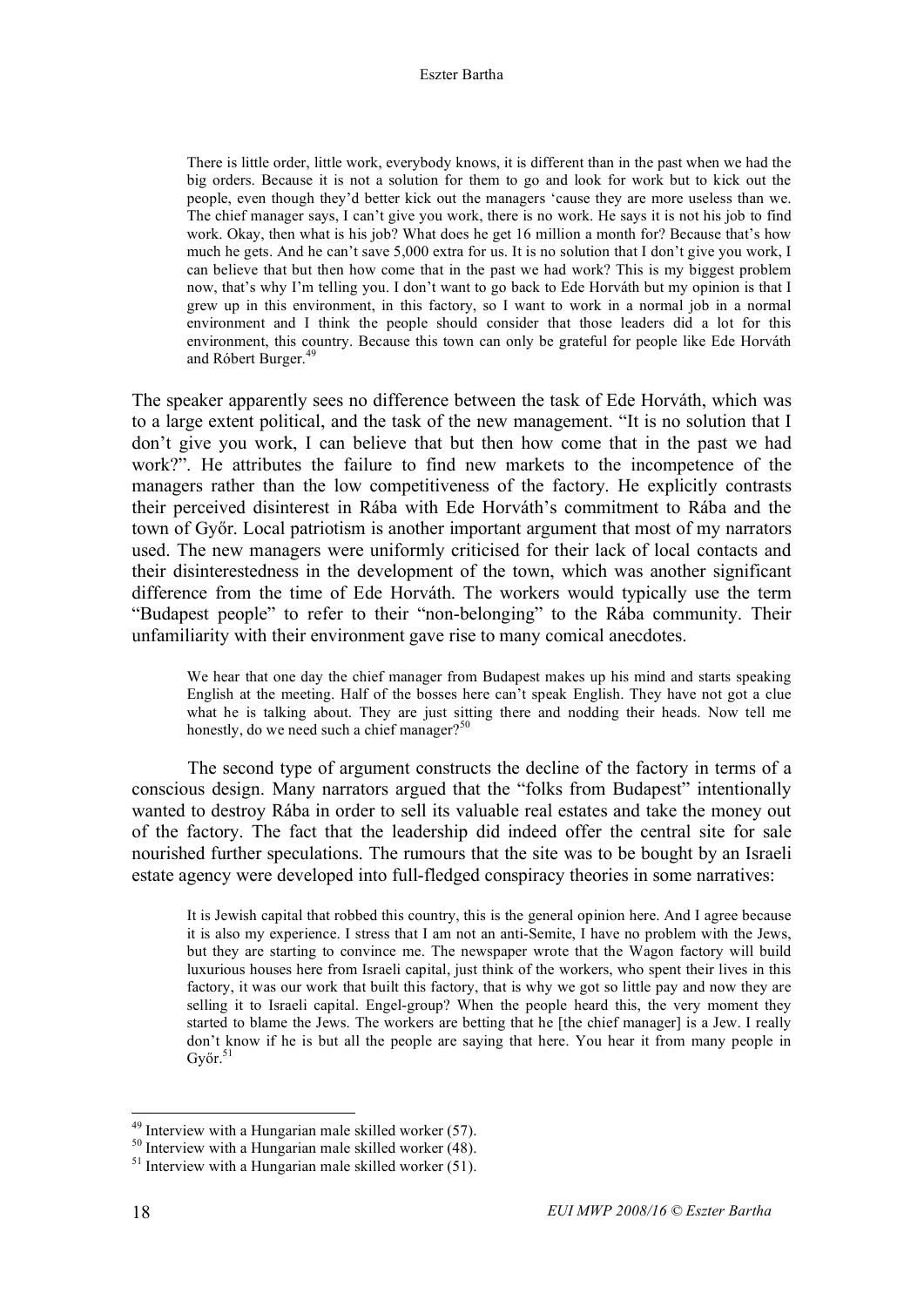There is little order, little work, everybody knows, it is different than in the past when we had the big orders. Because it is not a solution for them to go and look for work but to kick out the people, even though they'd better kick out the managers 'cause they are more useless than we. The chief manager says, I can't give you work, there is no work. He says it is not his job to find work. Okay, then what is his job? What does he get 16 million a month for? Because that's how much he gets. And he can't save 5,000 extra for us. It is no solution that I don't give you work, I can believe that but then how come that in the past we had work? This is my biggest problem now, that's why I'm telling you. I don't want to go back to Ede Horváth but my opinion is that I grew up in this environment, in this factory, so I want to work in a normal job in a normal environment and I think the people should consider that those leaders did a lot for this environment, this country. Because this town can only be grateful for people like Ede Horváth and Róbert Burger. 49

The speaker apparently sees no difference between the task of Ede Horváth, which was to a large extent political, and the task of the new management. "It is no solution that I don't give you work, I can believe that but then how come that in the past we had work?". He attributes the failure to find new markets to the incompetence of the managers rather than the low competitiveness of the factory. He explicitly contrasts their perceived disinterest in Rába with Ede Horváth's commitment to Rába and the town of Győr. Local patriotism is another important argument that most of my narrators used. The new managers were uniformly criticised for their lack of local contacts and their disinterestedness in the development of the town, which was another significant difference from the time of Ede Horváth. The workers would typically use the term "Budapest people" to refer to their "non-belonging" to the Rába community. Their unfamiliarity with their environment gave rise to many comical anecdotes.

We hear that one day the chief manager from Budapest makes up his mind and starts speaking English at the meeting. Half of the bosses here can't speak English. They have not got a clue what he is talking about. They are just sitting there and nodding their heads. Now tell me honestly, do we need such a chief manager?<sup>50</sup>

The second type of argument constructs the decline of the factory in terms of a conscious design. Many narrators argued that the "folks from Budapest" intentionally wanted to destroy Rába in order to sell its valuable real estates and take the money out of the factory. The fact that the leadership did indeed offer the central site for sale nourished further speculations. The rumours that the site was to be bought by an Israeli estate agency were developed into full-fledged conspiracy theories in some narratives:

It is Jewish capital that robbed this country, this is the general opinion here. And I agree because it is also my experience. I stress that I am not an anti-Semite, I have no problem with the Jews, but they are starting to convince me. The newspaper wrote that the Wagon factory will build luxurious houses here from Israeli capital, just think of the workers, who spent their lives in this factory, it was our work that built this factory, that is why we got so little pay and now they are selling it to Israeli capital. Engel-group? When the people heard this, the very moment they started to blame the Jews. The workers are betting that he [the chief manager] is a Jew. I really don't know if he is but all the people are saying that here. You hear it from many people in Győr.<sup>51</sup>

<sup>&</sup>lt;sup>49</sup> Interview with a Hungarian male skilled worker (57).<br><sup>50</sup> Interview with a Hungarian male skilled worker (48).<br><sup>51</sup> Interview with a Hungarian male skilled worker (51).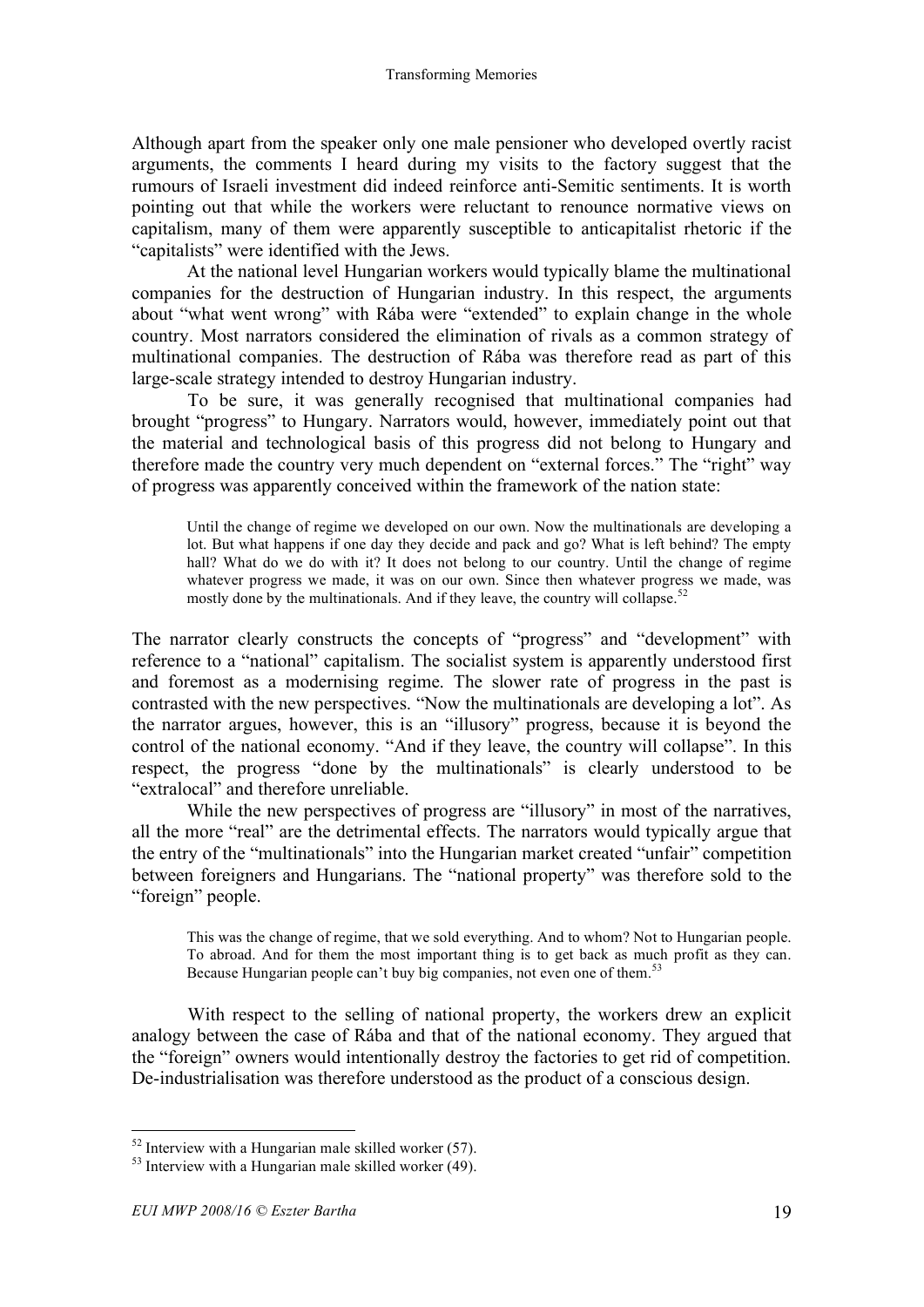Although apart from the speaker only one male pensioner who developed overtly racist arguments, the comments I heard during my visits to the factory suggest that the rumours of Israeli investment did indeed reinforce anti-Semitic sentiments. It is worth pointing out that while the workers were reluctant to renounce normative views on capitalism, many of them were apparently susceptible to anticapitalist rhetoric if the "capitalists" were identified with the Jews.

At the national level Hungarian workers would typically blame the multinational companies for the destruction of Hungarian industry. In this respect, the arguments about "what went wrong" with Rába were "extended" to explain change in the whole country. Most narrators considered the elimination of rivals as a common strategy of multinational companies. The destruction of Rába was therefore read as part of this large-scale strategy intended to destroy Hungarian industry.

To be sure, it was generally recognised that multinational companies had brought "progress" to Hungary. Narrators would, however, immediately point out that the material and technological basis of this progress did not belong to Hungary and therefore made the country very much dependent on "external forces." The "right" way of progress was apparently conceived within the framework of the nation state:

Until the change of regime we developed on our own. Now the multinationals are developing a lot. But what happens if one day they decide and pack and go? What is left behind? The empty hall? What do we do with it? It does not belong to our country. Until the change of regime whatever progress we made, it was on our own. Since then whatever progress we made, was mostly done by the multinationals. And if they leave, the country will collapse.<sup>52</sup>

The narrator clearly constructs the concepts of "progress" and "development" with reference to a "national" capitalism. The socialist system is apparently understood first and foremost as a modernising regime. The slower rate of progress in the past is contrasted with the new perspectives. "Now the multinationals are developing a lot". As the narrator argues, however, this is an "illusory" progress, because it is beyond the control of the national economy. "And if they leave, the country will collapse". In this respect, the progress "done by the multinationals" is clearly understood to be "extralocal" and therefore unreliable.

While the new perspectives of progress are "illusory" in most of the narratives, all the more "real" are the detrimental effects. The narrators would typically argue that the entry of the "multinationals" into the Hungarian market created "unfair" competition between foreigners and Hungarians. The "national property" was therefore sold to the "foreign" people.

This was the change of regime, that we sold everything. And to whom? Not to Hungarian people. To abroad. And for them the most important thing is to get back as much profit as they can. Because Hungarian people can't buy big companies, not even one of them.<sup>53</sup>

With respect to the selling of national property, the workers drew an explicit analogy between the case of Rába and that of the national economy. They argued that the "foreign" owners would intentionally destroy the factories to get rid of competition. De-industrialisation was therefore understood as the product of a conscious design.

 $52$  Interview with a Hungarian male skilled worker (57).<br> $53$  Interview with a Hungarian male skilled worker (49).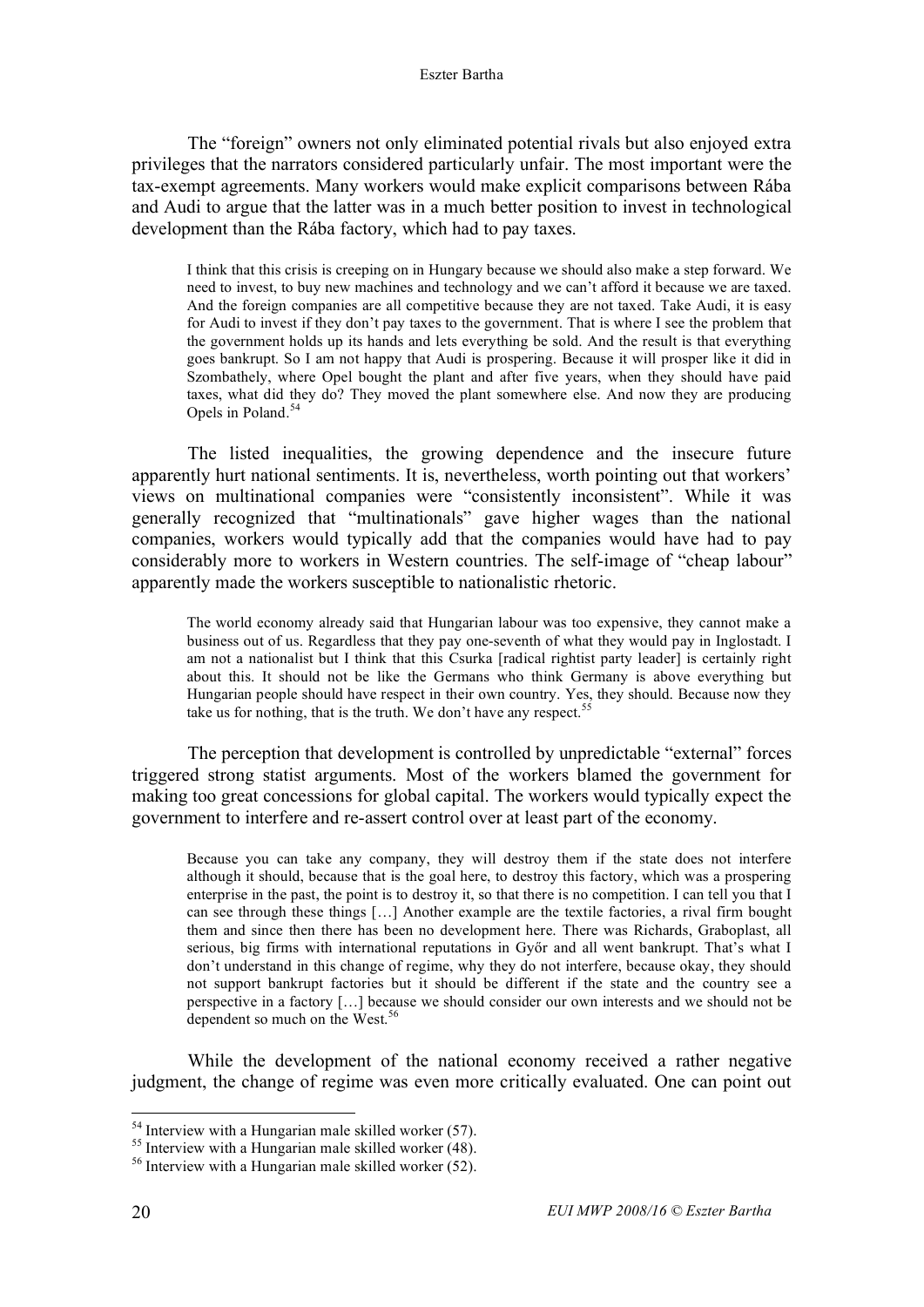The "foreign" owners not only eliminated potential rivals but also enjoyed extra privileges that the narrators considered particularly unfair. The most important were the tax-exempt agreements. Many workers would make explicit comparisons between Rába and Audi to argue that the latter was in a much better position to invest in technological development than the Rába factory, which had to pay taxes.

I think that this crisis is creeping on in Hungary because we should also make a step forward. We need to invest, to buy new machines and technology and we can't afford it because we are taxed. And the foreign companies are all competitive because they are not taxed. Take Audi, it is easy for Audi to invest if they don't pay taxes to the government. That is where I see the problem that the government holds up its hands and lets everything be sold. And the result is that everything goes bankrupt. So I am not happy that Audi is prospering. Because it will prosper like it did in Szombathely, where Opel bought the plant and after five years, when they should have paid taxes, what did they do? They moved the plant somewhere else. And now they are producing Opels in Poland. 54

The listed inequalities, the growing dependence and the insecure future apparently hurt national sentiments. It is, nevertheless, worth pointing out that workers' views on multinational companies were "consistently inconsistent". While it was generally recognized that "multinationals" gave higher wages than the national companies, workers would typically add that the companies would have had to pay considerably more to workers in Western countries. The self-image of "cheap labour" apparently made the workers susceptible to nationalistic rhetoric.

The world economy already said that Hungarian labour was too expensive, they cannot make a business out of us. Regardless that they pay one-seventh of what they would pay in Inglostadt. I am not a nationalist but I think that this Csurka [radical rightist party leader] is certainly right about this. It should not be like the Germans who think Germany is above everything but Hungarian people should have respect in their own country. Yes, they should. Because now they take us for nothing, that is the truth. We don't have any respect.<sup>55</sup>

The perception that development is controlled by unpredictable "external" forces triggered strong statist arguments. Most of the workers blamed the government for making too great concessions for global capital. The workers would typically expect the government to interfere and re-assert control over at least part of the economy.

Because you can take any company, they will destroy them if the state does not interfere although it should, because that is the goal here, to destroy this factory, which was a prospering enterprise in the past, the point is to destroy it, so that there is no competition. I can tell you that I can see through these things […] Another example are the textile factories, a rival firm bought them and since then there has been no development here. There was Richards, Graboplast, all serious, big firms with international reputations in Győr and all went bankrupt. That's what I don't understand in this change of regime, why they do not interfere, because okay, they should not support bankrupt factories but it should be different if the state and the country see a perspective in a factory […] because we should consider our own interests and we should not be dependent so much on the West.<sup>56</sup>

While the development of the national economy received a rather negative judgment, the change of regime was even more critically evaluated. One can point out

<sup>&</sup>lt;sup>54</sup> Interview with a Hungarian male skilled worker (57).<br><sup>55</sup> Interview with a Hungarian male skilled worker (48).<br><sup>56</sup> Interview with a Hungarian male skilled worker (52).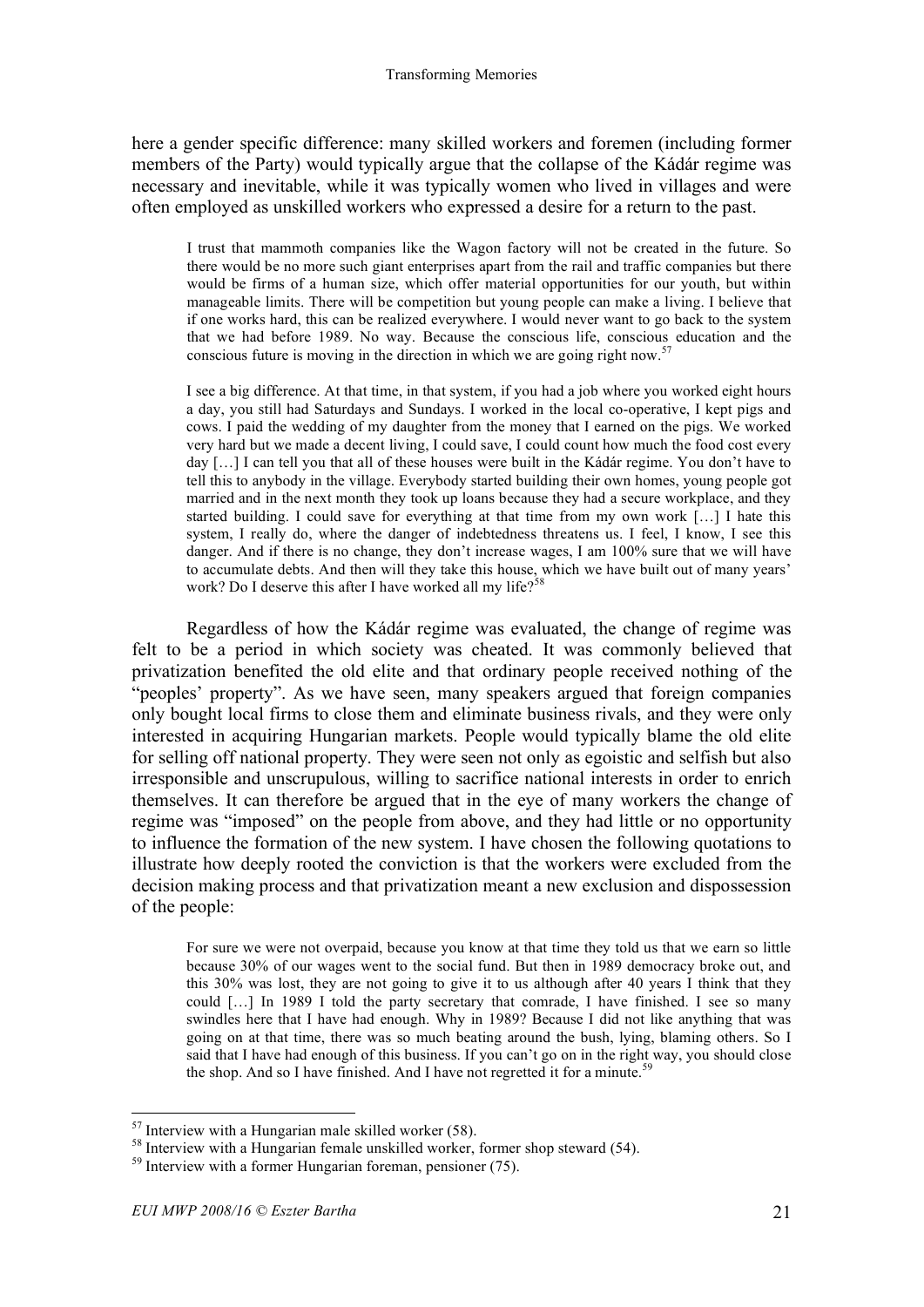here a gender specific difference: many skilled workers and foremen (including former members of the Party) would typically argue that the collapse of the Kádár regime was necessary and inevitable, while it was typically women who lived in villages and were often employed as unskilled workers who expressed a desire for a return to the past.

I trust that mammoth companies like the Wagon factory will not be created in the future. So there would be no more such giant enterprises apart from the rail and traffic companies but there would be firms of a human size, which offer material opportunities for our youth, but within manageable limits. There will be competition but young people can make a living. I believe that if one works hard, this can be realized everywhere. I would never want to go back to the system that we had before 1989. No way. Because the conscious life, conscious education and the conscious future is moving in the direction in which we are going right now. 57

I see a big difference. At that time, in that system, if you had a job where you worked eight hours a day, you still had Saturdays and Sundays. I worked in the local co-operative, I kept pigs and cows. I paid the wedding of my daughter from the money that I earned on the pigs. We worked very hard but we made a decent living, I could save, I could count how much the food cost every day […] I can tell you that all of these houses were built in the Kádár regime. You don't have to tell this to anybody in the village. Everybody started building their own homes, young people got married and in the next month they took up loans because they had a secure workplace, and they started building. I could save for everything at that time from my own work […] I hate this system, I really do, where the danger of indebtedness threatens us. I feel, I know, I see this danger. And if there is no change, they don't increase wages, I am 100% sure that we will have to accumulate debts. And then will they take this house, which we have built out of many years' work? Do I deserve this after I have worked all my life?<sup>58</sup>

Regardless of how the Kádár regime was evaluated, the change of regime was felt to be a period in which society was cheated. It was commonly believed that privatization benefited the old elite and that ordinary people received nothing of the "peoples' property". As we have seen, many speakers argued that foreign companies only bought local firms to close them and eliminate business rivals, and they were only interested in acquiring Hungarian markets. People would typically blame the old elite for selling off national property. They were seen not only as egoistic and selfish but also irresponsible and unscrupulous, willing to sacrifice national interests in order to enrich themselves. It can therefore be argued that in the eye of many workers the change of regime was "imposed" on the people from above, and they had little or no opportunity to influence the formation of the new system. I have chosen the following quotations to illustrate how deeply rooted the conviction is that the workers were excluded from the decision making process and that privatization meant a new exclusion and dispossession of the people:

For sure we were not overpaid, because you know at that time they told us that we earn so little because 30% of our wages went to the social fund. But then in 1989 democracy broke out, and this 30% was lost, they are not going to give it to us although after 40 years I think that they could […] In 1989 I told the party secretary that comrade, I have finished. I see so many swindles here that I have had enough. Why in 1989? Because I did not like anything that was going on at that time, there was so much beating around the bush, lying, blaming others. So I said that I have had enough of this business. If you can't go on in the right way, you should close the shop. And so I have finished. And I have not regretted it for a minute.<sup>59</sup>

<sup>&</sup>lt;sup>57</sup> Interview with a Hungarian male skilled worker (58).<br><sup>58</sup> Interview with a Hungarian female unskilled worker, former shop steward (54).<br><sup>59</sup> Interview with a former Hungarian foreman, pensioner (75).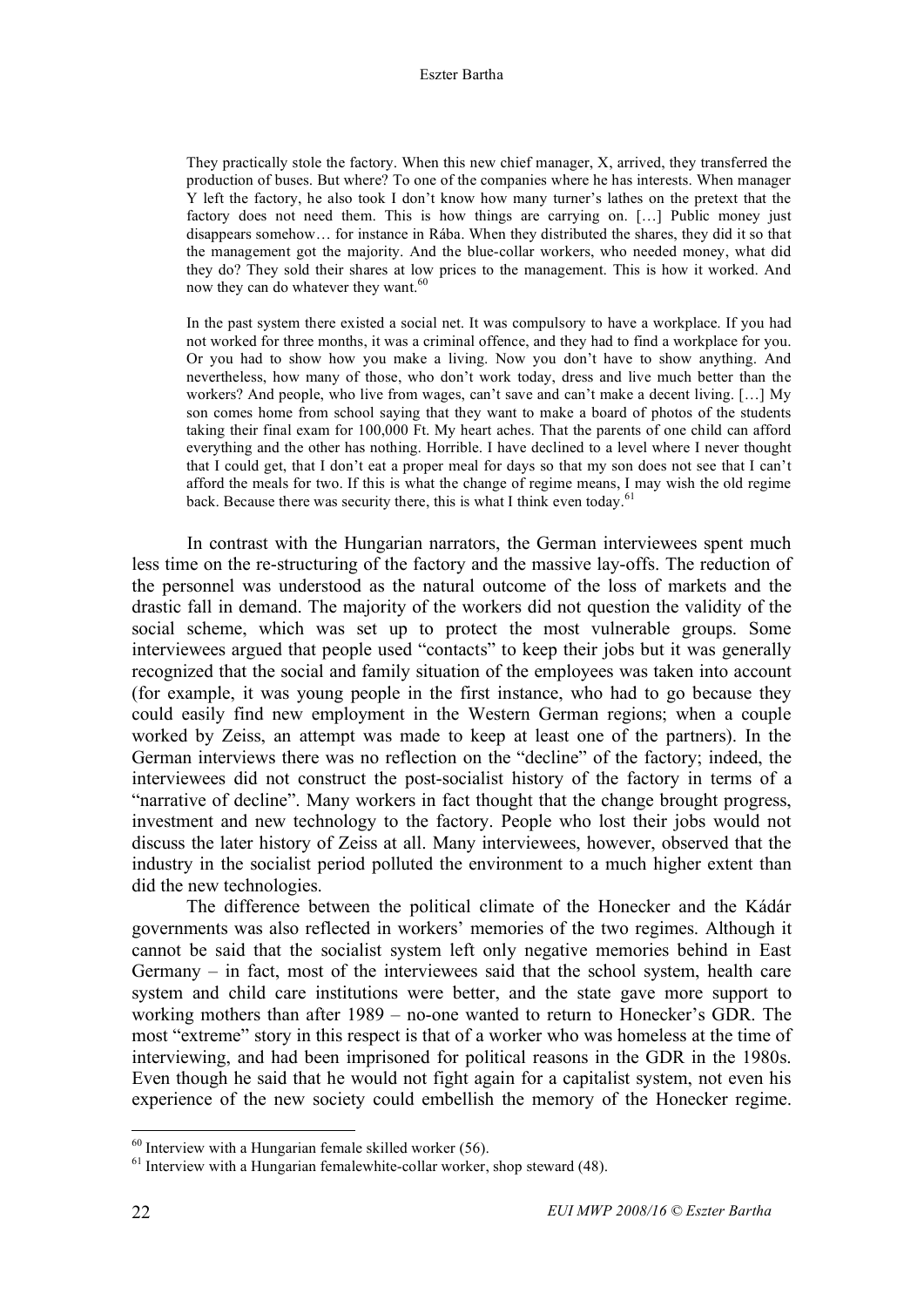They practically stole the factory. When this new chief manager, X, arrived, they transferred the production of buses. But where? To one of the companies where he has interests. When manager Y left the factory, he also took I don't know how many turner's lathes on the pretext that the factory does not need them. This is how things are carrying on. [...] Public money just disappears somehow… for instance in Rába. When they distributed the shares, they did it so that the management got the majority. And the blue-collar workers, who needed money, what did they do? They sold their shares at low prices to the management. This is how it worked. And now they can do whatever they want. 60

In the past system there existed a social net. It was compulsory to have a workplace. If you had not worked for three months, it was a criminal offence, and they had to find a workplace for you. Or you had to show how you make a living. Now you don't have to show anything. And nevertheless, how many of those, who don't work today, dress and live much better than the workers? And people, who live from wages, can't save and can't make a decent living. [...] My son comes home from school saying that they want to make a board of photos of the students taking their final exam for 100,000 Ft. My heart aches. That the parents of one child can afford everything and the other has nothing. Horrible. I have declined to a level where I never thought that I could get, that I don't eat a proper meal for days so that my son does not see that I can't afford the meals for two. If this is what the change of regime means, I may wish the old regime back. Because there was security there, this is what I think even today.<sup>61</sup>

In contrast with the Hungarian narrators, the German interviewees spent much less time on the re-structuring of the factory and the massive lay-offs. The reduction of the personnel was understood as the natural outcome of the loss of markets and the drastic fall in demand. The majority of the workers did not question the validity of the social scheme, which was set up to protect the most vulnerable groups. Some interviewees argued that people used "contacts" to keep their jobs but it was generally recognized that the social and family situation of the employees was taken into account (for example, it was young people in the first instance, who had to go because they could easily find new employment in the Western German regions; when a couple worked by Zeiss, an attempt was made to keep at least one of the partners). In the German interviews there was no reflection on the "decline" of the factory; indeed, the interviewees did not construct the post-socialist history of the factory in terms of a "narrative of decline". Many workers in fact thought that the change brought progress, investment and new technology to the factory. People who lost their jobs would not discuss the later history of Zeiss at all. Many interviewees, however, observed that the industry in the socialist period polluted the environment to a much higher extent than did the new technologies.

The difference between the political climate of the Honecker and the Kádár governments was also reflected in workers' memories of the two regimes. Although it cannot be said that the socialist system left only negative memories behind in East Germany – in fact, most of the interviewees said that the school system, health care system and child care institutions were better, and the state gave more support to working mothers than after 1989 – no-one wanted to return to Honecker's GDR. The most "extreme" story in this respect is that of a worker who was homeless at the time of interviewing, and had been imprisoned for political reasons in the GDR in the 1980s. Even though he said that he would not fight again for a capitalist system, not even his experience of the new society could embellish the memory of the Honecker regime.

 $^{60}$  Interview with a Hungarian female skilled worker (56).<br><sup>61</sup> Interview with a Hungarian femalewhite-collar worker, shop steward (48).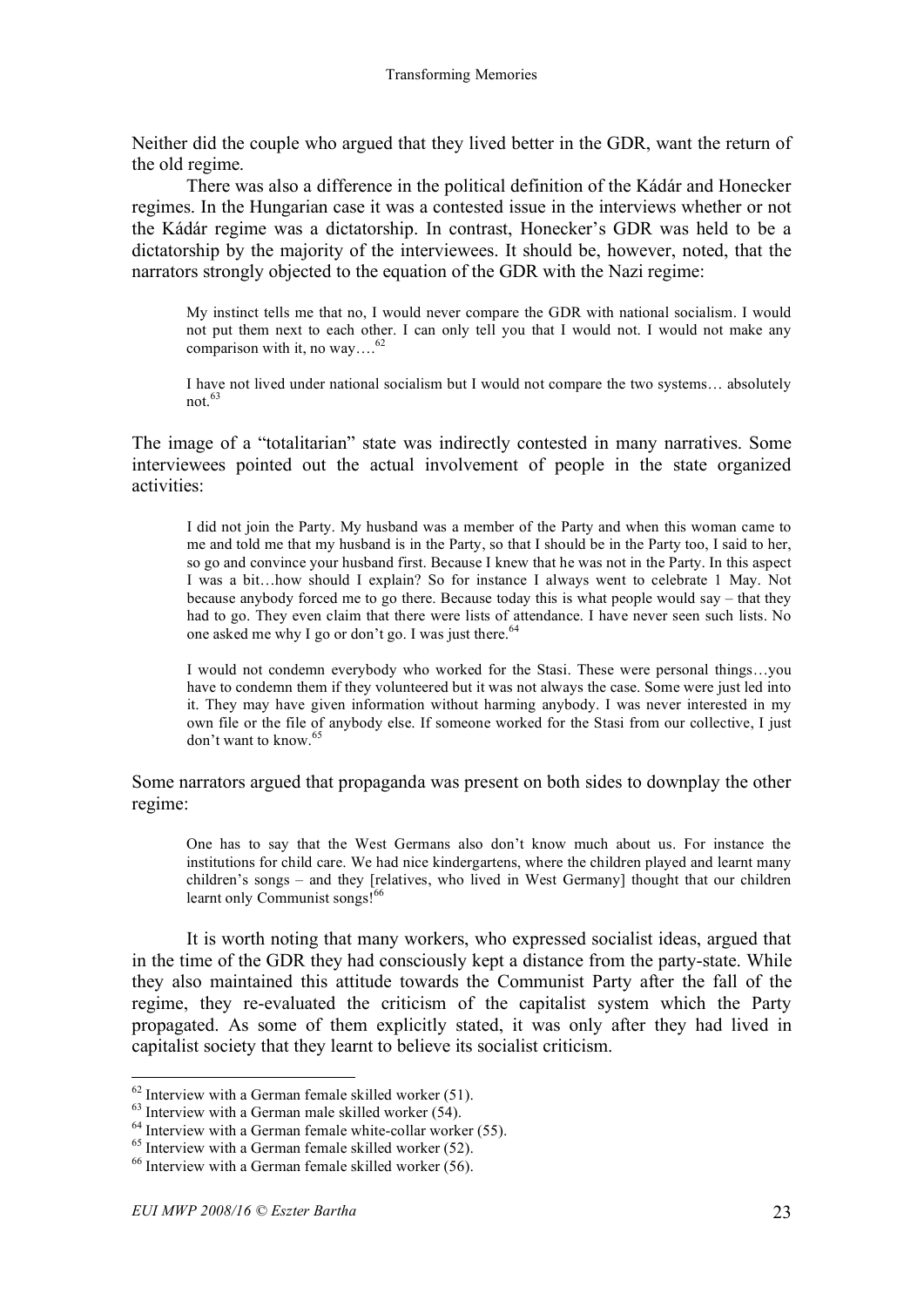Neither did the couple who argued that they lived better in the GDR, want the return of the old regime.

There was also a difference in the political definition of the Kádár and Honecker regimes. In the Hungarian case it was a contested issue in the interviews whether or not the Kádár regime was a dictatorship. In contrast, Honecker's GDR was held to be a dictatorship by the majority of the interviewees. It should be, however, noted, that the narrators strongly objected to the equation of the GDR with the Nazi regime:

My instinct tells me that no, I would never compare the GDR with national socialism. I would not put them next to each other. I can only tell you that I would not. I would not make any comparison with it, no way…. 62

I have not lived under national socialism but I would not compare the two systems… absolutely not. 63

The image of a "totalitarian" state was indirectly contested in many narratives. Some interviewees pointed out the actual involvement of people in the state organized activities:

I did not join the Party. My husband was a member of the Party and when this woman came to me and told me that my husband is in the Party, so that I should be in the Party too, I said to her, so go and convince your husband first. Because I knew that he was not in the Party. In this aspect I was a bit…how should I explain? So for instance I always went to celebrate 1 May. Not because anybody forced me to go there. Because today this is what people would say – that they had to go. They even claim that there were lists of attendance. I have never seen such lists. No one asked me why I go or don't go. I was just there.<sup>64</sup>

I would not condemn everybody who worked for the Stasi. These were personal things…you have to condemn them if they volunteered but it was not always the case. Some were just led into it. They may have given information without harming anybody. I was never interested in my own file or the file of anybody else. If someone worked for the Stasi from our collective, I just don't want to know. 65

Some narrators argued that propaganda was present on both sides to downplay the other regime:

One has to say that the West Germans also don't know much about us. For instance the institutions for child care. We had nice kindergartens, where the children played and learnt many children's songs – and they [relatives, who lived in West Germany] thought that our children learnt only Communist songs!<sup>66</sup>

It is worth noting that many workers, who expressed socialist ideas, argued that in the time of the GDR they had consciously kept a distance from the party-state. While they also maintained this attitude towards the Communist Party after the fall of the regime, they re-evaluated the criticism of the capitalist system which the Party propagated. As some of them explicitly stated, it was only after they had lived in capitalist society that they learnt to believe its socialist criticism.

<sup>&</sup>lt;sup>62</sup> Interview with a German female skilled worker (51).<br>
<sup>63</sup> Interview with a German male skilled worker (54).<br>
<sup>64</sup> Interview with a German female white-collar worker (55).<br>
<sup>65</sup> Interview with a German female skilled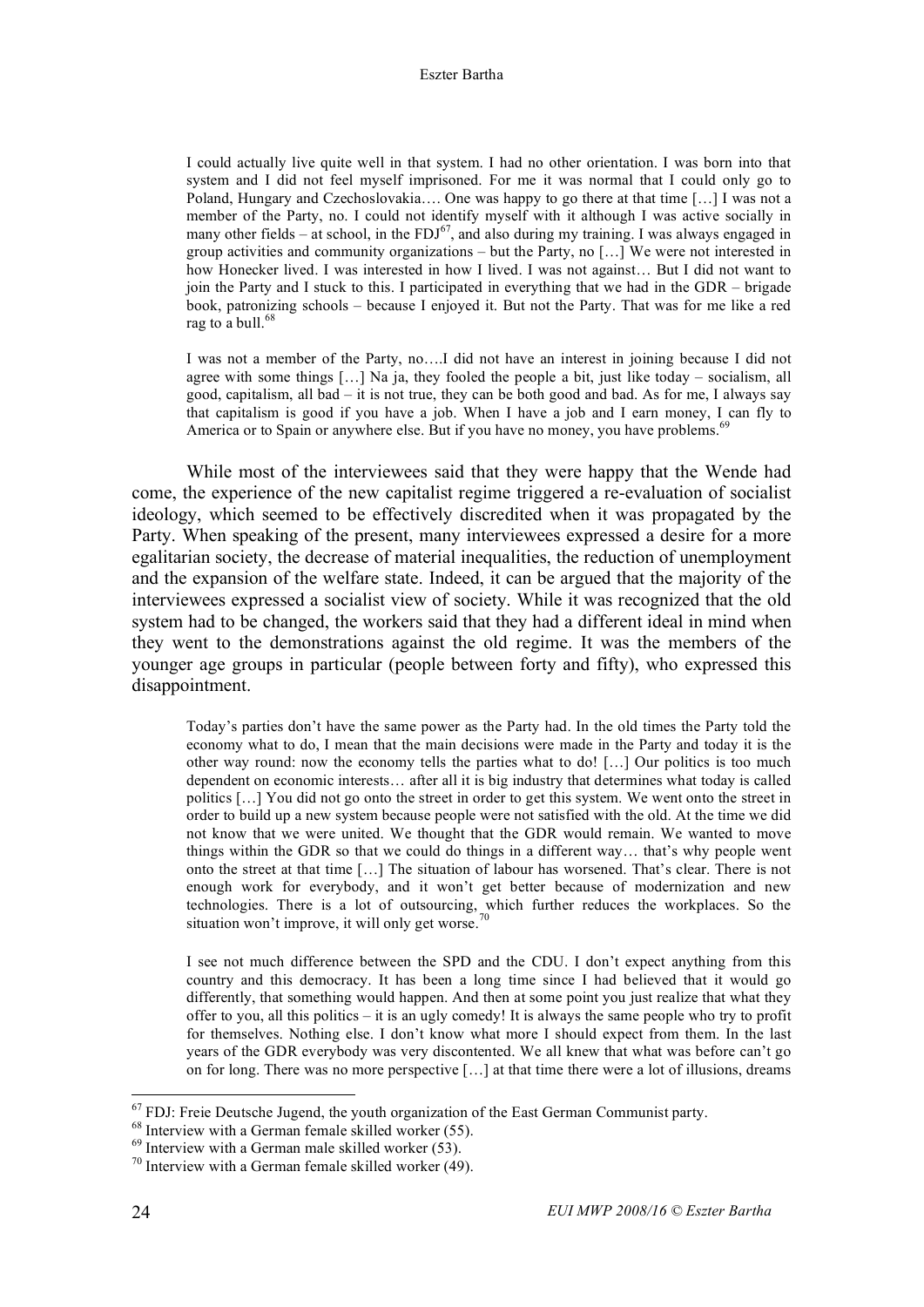I could actually live quite well in that system. I had no other orientation. I was born into that system and I did not feel myself imprisoned. For me it was normal that I could only go to Poland, Hungary and Czechoslovakia…. One was happy to go there at that time […] I was not a member of the Party, no. I could not identify myself with it although I was active socially in many other fields – at school, in the  $FDI^{67}$ , and also during my training. I was always engaged in group activities and community organizations – but the Party, no […] We were not interested in how Honecker lived. I was interested in how I lived. I was not against… But I did not want to join the Party and I stuck to this. I participated in everything that we had in the GDR – brigade book, patronizing schools – because I enjoyed it. But not the Party. That was for me like a red rag to a bull.<sup>68</sup>

I was not a member of the Party, no….I did not have an interest in joining because I did not agree with some things  $[...]$  Na ja, they fooled the people a bit, just like today – socialism, all good, capitalism, all bad – it is not true, they can be both good and bad. As for me, I always say that capitalism is good if you have a job. When I have a job and I earn money, I can fly to America or to Spain or anywhere else. But if you have no money, you have problems.<sup>69</sup>

While most of the interviewees said that they were happy that the Wende had come, the experience of the new capitalist regime triggered a re-evaluation of socialist ideology, which seemed to be effectively discredited when it was propagated by the Party. When speaking of the present, many interviewees expressed a desire for a more egalitarian society, the decrease of material inequalities, the reduction of unemployment and the expansion of the welfare state. Indeed, it can be argued that the majority of the interviewees expressed a socialist view of society. While it was recognized that the old system had to be changed, the workers said that they had a different ideal in mind when they went to the demonstrations against the old regime. It was the members of the younger age groups in particular (people between forty and fifty), who expressed this disappointment.

Today's parties don't have the same power as the Party had. In the old times the Party told the economy what to do, I mean that the main decisions were made in the Party and today it is the other way round: now the economy tells the parties what to do! […] Our politics is too much dependent on economic interests… after all it is big industry that determines what today is called politics […] You did not go onto the street in order to get this system. We went onto the street in order to build up a new system because people were not satisfied with the old. At the time we did not know that we were united. We thought that the GDR would remain. We wanted to move things within the GDR so that we could do things in a different way… that's why people went onto the street at that time […] The situation of labour has worsened. That's clear. There is not enough work for everybody, and it won't get better because of modernization and new technologies. There is a lot of outsourcing, which further reduces the workplaces. So the situation won't improve, it will only get worse.<sup>70</sup>

I see not much difference between the SPD and the CDU. I don't expect anything from this country and this democracy. It has been a long time since I had believed that it would go differently, that something would happen. And then at some point you just realize that what they offer to you, all this politics – it is an ugly comedy! It is always the same people who try to profit for themselves. Nothing else. I don't know what more I should expect from them. In the last years of the GDR everybody was very discontented. We all knew that what was before can't go on for long. There was no more perspective […] at that time there were a lot of illusions, dreams

<sup>&</sup>lt;sup>67</sup> FDJ: Freie Deutsche Jugend, the youth organization of the East German Communist party.<br><sup>68</sup> Interview with a German female skilled worker (55).<br><sup>69</sup> Interview with a German male skilled worker (53).<br><sup>70</sup> Interview wi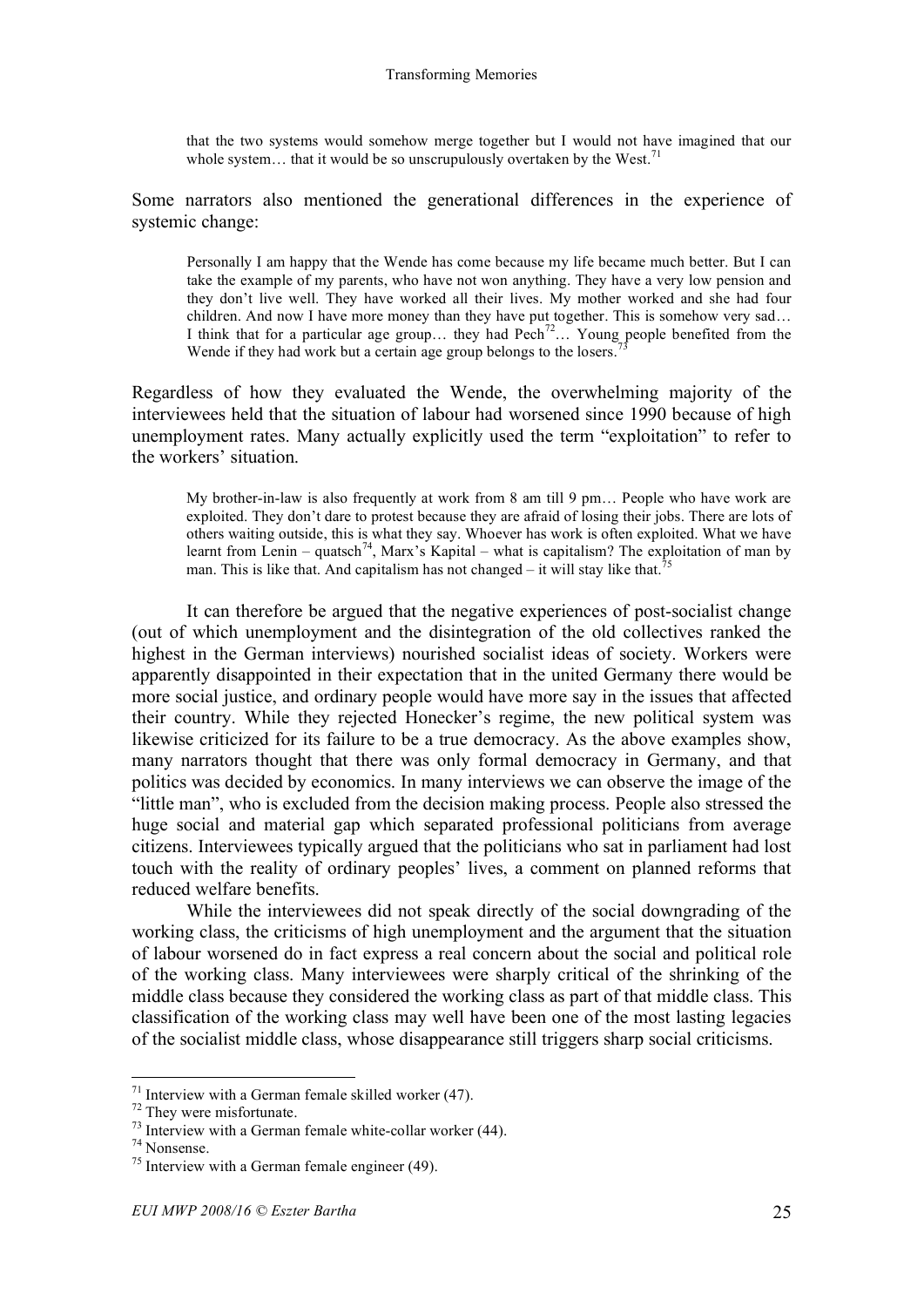that the two systems would somehow merge together but I would not have imagined that our whole system... that it would be so unscrupulously overtaken by the West.<sup>71</sup>

Some narrators also mentioned the generational differences in the experience of systemic change:

Personally I am happy that the Wende has come because my life became much better. But I can take the example of my parents, who have not won anything. They have a very low pension and they don't live well. They have worked all their lives. My mother worked and she had four children. And now I have more money than they have put together. This is somehow very sad… I think that for a particular age group... they had Pech<sup>72</sup>... Young people benefited from the Wende if they had work but a certain age group belongs to the losers.<sup>73</sup>

Regardless of how they evaluated the Wende, the overwhelming majority of the interviewees held that the situation of labour had worsened since 1990 because of high unemployment rates. Many actually explicitly used the term "exploitation" to refer to the workers' situation.

My brother-in-law is also frequently at work from 8 am till 9 pm… People who have work are exploited. They don't dare to protest because they are afraid of losing their jobs. There are lots of others waiting outside, this is what they say. Whoever has work is often exploited. What we have learnt from Lenin – quatsch<sup>74</sup>, Marx's Kapital – what is capitalism? The exploitation of man by man. This is like that. And capitalism has not changed – it will stay like that.<sup>75</sup>

It can therefore be argued that the negative experiences of post-socialist change (out of which unemployment and the disintegration of the old collectives ranked the highest in the German interviews) nourished socialist ideas of society. Workers were apparently disappointed in their expectation that in the united Germany there would be more social justice, and ordinary people would have more say in the issues that affected their country. While they rejected Honecker's regime, the new political system was likewise criticized for its failure to be a true democracy. As the above examples show, many narrators thought that there was only formal democracy in Germany, and that politics was decided by economics. In many interviews we can observe the image of the "little man", who is excluded from the decision making process. People also stressed the huge social and material gap which separated professional politicians from average citizens. Interviewees typically argued that the politicians who sat in parliament had lost touch with the reality of ordinary peoples' lives, a comment on planned reforms that reduced welfare benefits.

While the interviewees did not speak directly of the social downgrading of the working class, the criticisms of high unemployment and the argument that the situation of labour worsened do in fact express a real concern about the social and political role of the working class. Many interviewees were sharply critical of the shrinking of the middle class because they considered the working class as part of that middle class. This classification of the working class may well have been one of the most lasting legacies of the socialist middle class, whose disappearance still triggers sharp social criticisms.

<sup>&</sup>lt;sup>71</sup> Interview with a German female skilled worker (47).<br><sup>72</sup> They were misfortunate.<br><sup>73</sup> Interview with a German female white-collar worker (44).<br><sup>74</sup> Nonsense.<br><sup>75</sup> Interview with a German female engineer (49).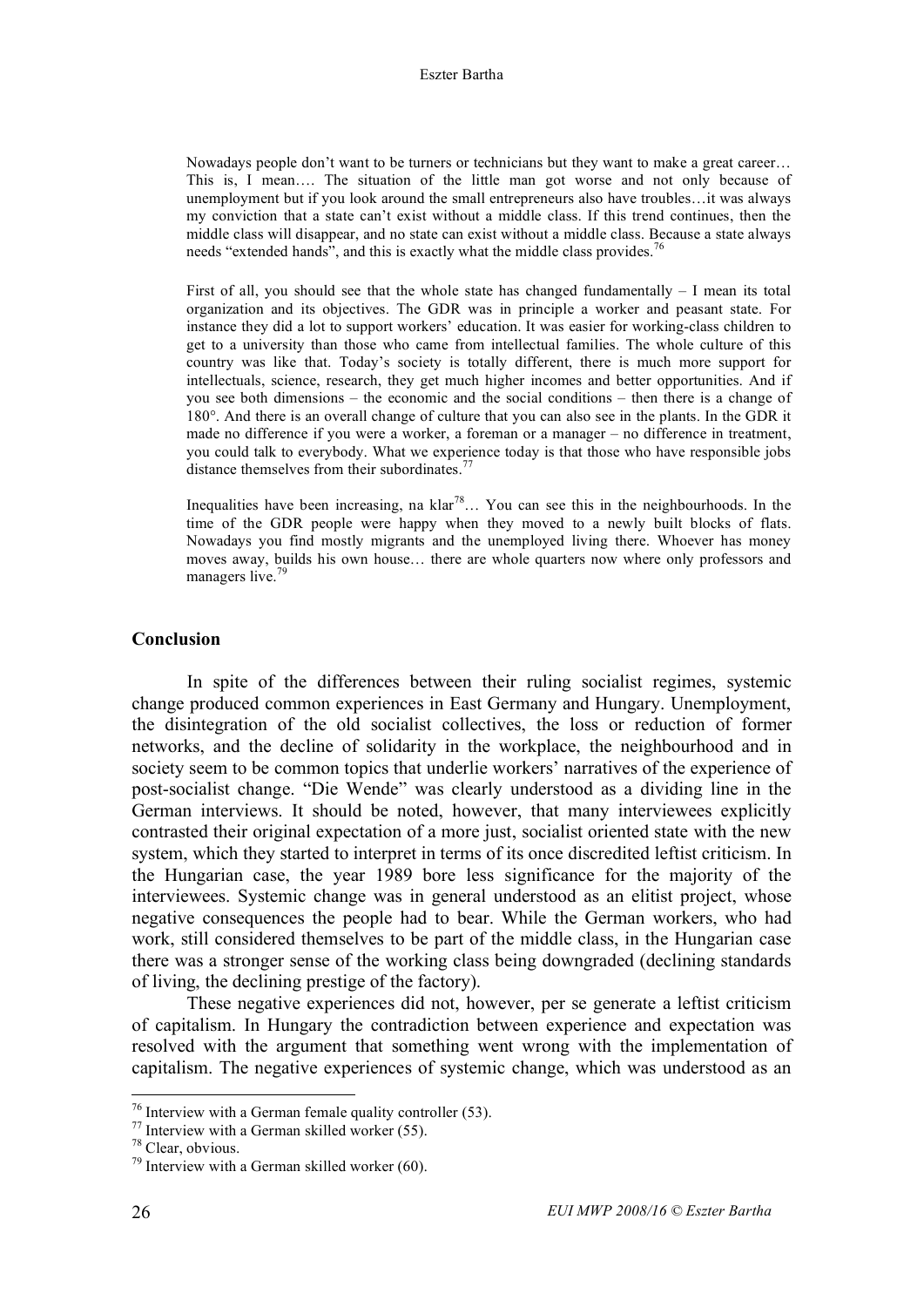Nowadays people don't want to be turners or technicians but they want to make a great career… This is, I mean…. The situation of the little man got worse and not only because of unemployment but if you look around the small entrepreneurs also have troubles…it was always my conviction that a state can't exist without a middle class. If this trend continues, then the middle class will disappear, and no state can exist without a middle class. Because a state always needs "extended hands", and this is exactly what the middle class provides.<sup>76</sup>

First of all, you should see that the whole state has changed fundamentally – I mean its total organization and its objectives. The GDR was in principle a worker and peasant state. For instance they did a lot to support workers' education. It was easier for working-class children to get to a university than those who came from intellectual families. The whole culture of this country was like that. Today's society is totally different, there is much more support for intellectuals, science, research, they get much higher incomes and better opportunities. And if you see both dimensions – the economic and the social conditions – then there is a change of 180°. And there is an overall change of culture that you can also see in the plants. In the GDR it made no difference if you were a worker, a foreman or a manager – no difference in treatment, you could talk to everybody. What we experience today is that those who have responsible jobs distance themselves from their subordinates.<sup>77</sup>

Inequalities have been increasing, na  $klar^{78}...$  You can see this in the neighbourhoods. In the time of the GDR people were happy when they moved to a newly built blocks of flats. Nowadays you find mostly migrants and the unemployed living there. Whoever has money moves away, builds his own house… there are whole quarters now where only professors and managers live.<sup>79</sup>

## **Conclusion**

In spite of the differences between their ruling socialist regimes, systemic change produced common experiences in East Germany and Hungary. Unemployment, the disintegration of the old socialist collectives, the loss or reduction of former networks, and the decline of solidarity in the workplace, the neighbourhood and in society seem to be common topics that underlie workers' narratives of the experience of post-socialist change. "Die Wende" was clearly understood as a dividing line in the German interviews. It should be noted, however, that many interviewees explicitly contrasted their original expectation of a more just, socialist oriented state with the new system, which they started to interpret in terms of its once discredited leftist criticism. In the Hungarian case, the year 1989 bore less significance for the majority of the interviewees. Systemic change was in general understood as an elitist project, whose negative consequences the people had to bear. While the German workers, who had work, still considered themselves to be part of the middle class, in the Hungarian case there was a stronger sense of the working class being downgraded (declining standards of living, the declining prestige of the factory).

These negative experiences did not, however, per se generate a leftist criticism of capitalism. In Hungary the contradiction between experience and expectation was resolved with the argument that something went wrong with the implementation of capitalism. The negative experiences of systemic change, which was understood as an

<sup>&</sup>lt;sup>76</sup> Interview with a German female quality controller (53).<br><sup>77</sup> Interview with a German skilled worker (55).<br><sup>79</sup> Interview with a German skilled worker (60).